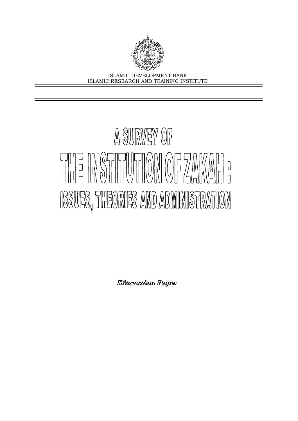

ISLAMIC DEVELOPMENT BANK ISLAMIC RESEARCH AND TRAINING INSTITUTE

# A SURVEY OF FUE INSTITUTION OF ZAVADO ISSUES, THEORIES AND ADMINISTRATION

Discussion Paper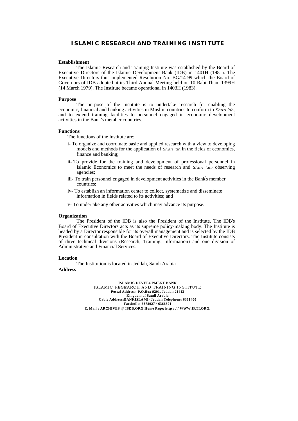## **ISLAMIC RESEARCH AND TRAINING INSTITUTE**

#### **Establishment**

The Islamic Research and Training Institute was established by the Board of Executive Directors of the Islamic Development Bank (IDB) in 1401H (1981). The Executive Directors thus implemented Resolution No. BG/14-99 which the Board of Governors of IDB adopted at its Third Annual Meeting held on 10 Rabi Thani 1399H (14 March 1979). The Institute became operational in 1403H (1983).

#### **Purpose**

The purpose of the Institute is to undertake research for enabling the economic, financial and banking activities in Muslim countries to conform to *Shari 'ah,*  and to extend training facilities to personnel engaged in economic development activities in the Bank's member countries.

#### **Functions**

The functions of the Institute are:

- i- To organize and coordinate basic and applied research with a view to developing models and methods for the application of *Shari 'ah* in the fields of economics, finance and banking;
- ii- To provide for the training and development of professional personnel in Islamic Economics to meet the needs of research and *Shari 'ah-* observing agencies;
- iii- To train personnel engaged in development activities in the Bank's member countries;
- iv- To establish an information center to collect, systematize and disseminate information in fields related to its activities; and
- v- To undertake any other activities which may advance its purpose.

#### **Organization**

The President of the IDB is also the President of the Institute. The IDB's Board of Executive Directors acts as its supreme policy-making body. The Institute is headed by a Director responsible for its overall management and is selected by the IDB President in consultation with the Board of Executive Directors. The Institute consists of three technical divisions (Research, Training, Information) and one division of Administrative and Financial Services.

#### **Location**

The Institution is located in Jeddah, Saudi Arabia.

#### **Address**

**ISLAMIC DEVELOPMENT BANK**  ISLAMIC RESEARCH AND TRAINING INSTITUTE **Postal Address: P.O.Box 9201, Jeddah 21413 Kingdom of Saudi Arabia Cable Address:BANKISLAMI- Jeddah Telephone: 6361400 Facsimile: 6378927** / **6366871**  E. **Mail : ARCHIVES** @ **ISDB.ORG Home Page: http : / / WWW.IRTI.ORG.**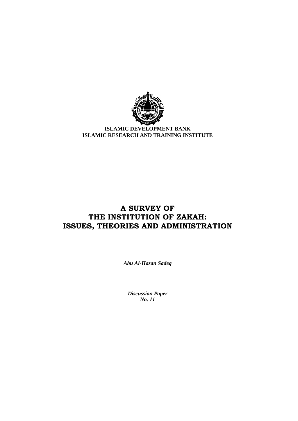

**ISLAMIC DEVELOPMENT BANK ISLAMIC RESEARCH AND TRAINING INSTITUTE** 

# **A SURVEY OF THE INSTITUTION OF ZAKAH: ISSUES, THEORIES AND ADMINISTRATION**

*Abu Al-Hasan Sadeq* 

*Discussion Paper No. 11*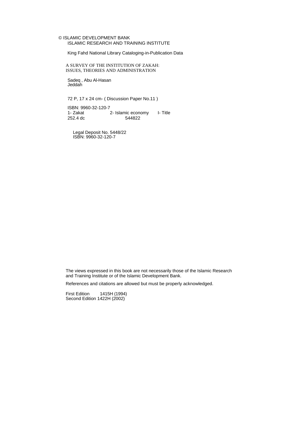#### © ISLAMIC DEVELOPMENT BANK ISLAMIC RESEARCH AND TRAINING INSTITUTE

King Fahd National Library Cataloging-in-Publication Data

A SURVEY OF THE INSTITUTION OF ZAKAH: ISSUES, THEORIES AND ADMINISTRATION

Sadeq , Abu Al-Hasan Jeddah

72 P, 17 x 24 cm- ( Discussion Paper No.11 )

ISBN: 9960-32-120-7 1- Zakat 2- Islamic economy I- Title<br>252.4 dc 544822 252.4 dc

Legal Deposit No. 5448/22 ISBN: 9960-32-120-7

The views expressed in this book are not necessarily those of the Islamic Research and Training Institute or of the Islamic Development Bank.

References and citations are allowed but must be properly acknowledged.

First Edition 1415H (1994) Second Edition 1422H (2002)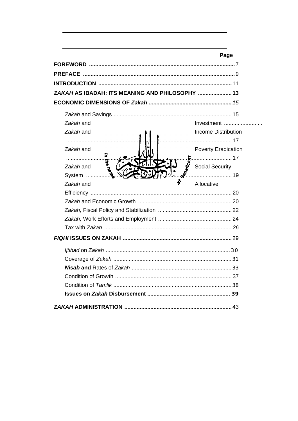|                                                 | Page                       |
|-------------------------------------------------|----------------------------|
|                                                 |                            |
|                                                 |                            |
|                                                 |                            |
| ZAKAH AS IBADAH: ITS MEANING AND PHILOSOPHY  13 |                            |
|                                                 |                            |
|                                                 |                            |
| Zakah and                                       |                            |
| Zakah and                                       | <b>Income Distribution</b> |
|                                                 |                            |
| Zakah and                                       | <b>Poverty Eradication</b> |
| 5<br>E<br>P                                     |                            |
| <b>Songered</b><br>Zakah and                    | <b>Social Security</b>     |
| iban.<br>System                                 | 19                         |
| Zakah and                                       | Allocative                 |
|                                                 |                            |
|                                                 |                            |
|                                                 |                            |
|                                                 |                            |
|                                                 |                            |
|                                                 |                            |
|                                                 |                            |
|                                                 |                            |
|                                                 |                            |
|                                                 |                            |
|                                                 |                            |
|                                                 |                            |
|                                                 |                            |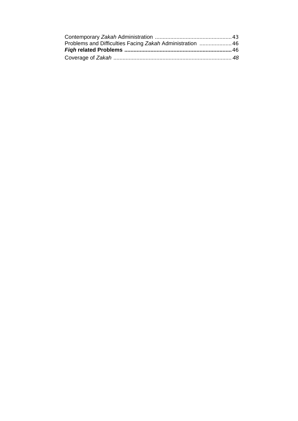| Problems and Difficulties Facing Zakah Administration  46 |  |
|-----------------------------------------------------------|--|
|                                                           |  |
|                                                           |  |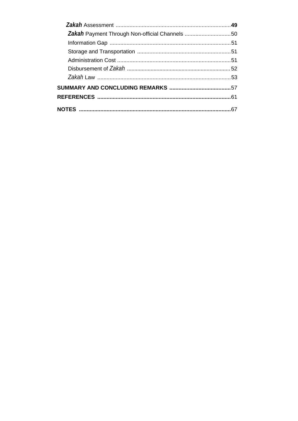| Zakah Payment Through Non-official Channels 50 |  |
|------------------------------------------------|--|
|                                                |  |
|                                                |  |
|                                                |  |
|                                                |  |
|                                                |  |
|                                                |  |
|                                                |  |
|                                                |  |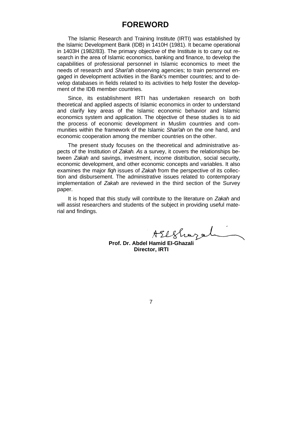# **FOREWORD**

The Islamic Research and Training Institute (IRTI) was established by the Islamic Development Bank (IDB) in 1410H (1981). It became operational in 1403H (1982/83). The primary objective of the Institute is to carry out research in the area of Islamic economics, banking and finance, to develop the capabilities of professional personnel in Islamic economics to meet the needs of research and *Shari'ah* observing agencies; to train personnel engaged in development activities in the Bank's member countries; and to develop databases in fields related to its activities to help foster the development of the IDB member countries.

Since, its establishment IRTI has undertaken research on both theoretical and applied aspects of Islamic economics in order to understand and clarify key areas of the Islamic economic behavior and Islamic economics system and application. The objective of these studies is to aid the process of economic development in Muslim countries and communities within the framework of the Islamic *Shari'ah* on the one hand, and economic cooperation among the member countries on the other.

The present study focuses on the theoretical and administrative aspects of the Institution of *Zakah. As* a survey, it covers the relationships between *Zakah* and savings, investment, income distribution, social security, economic development, and other economic concepts and variables. It also examines the major *fiqh* issues of *Zakah* from the perspective of its collection and disbursement. The administrative issues related to contemporary implementation of *Zakah* are reviewed in the third section of the Survey paper.

It is hoped that this study will contribute to the literature on *Zakah* and will assist researchers and students of the subject in providing useful material and findings.

**Prof. Dr. Abdel Hamid EI-Ghazali** 

**Director, IRTI**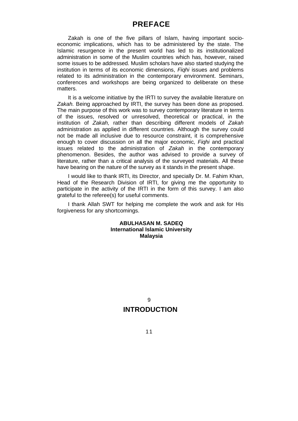# **PREFACE**

Zakah is one of the five pillars of Islam, having important socioeconomic implications, which has to be administered by the state. The Islamic resurgence in the present world has led to its institutionalized administration in some of the Muslim countries which has, however, raised some issues to be addressed. Muslim scholars have also started studying the institution in terms of its economic dimensions, *Fiqhi* issues and problems related to its administration in the contemporary environment. Seminars, conferences and workshops are being organized to deliberate on these matters.

It is a welcome initiative by the IRTI to survey the available literature on *Zakah.* Being approached by IRTI, the survey has been done as proposed. The main purpose of this work was to survey contemporary literature in terms of the issues, resolved or unresolved, theoretical or practical, in the institution of *Zakah,* rather than describing different models of *Zakah*  administration as applied in different countries. Although the survey could not be made all inclusive due to resource constraint, it is comprehensive enough to cover discussion on all the major economic, *Fiqhi* and practical issues related to the administration of *Zakah* in the contemporary phenomenon. Besides, the author was advised to provide a survey of literature, rather than a critical analysis of the surveyed materials. All these have bearing on the nature of the survey as it stands in the present shape.

I would like to thank IRTI, its Director, and specially Dr. M. Fahim Khan, Head of the Research Division of IRTI, for giving me the opportunity to participate in the activity of the IRTI in the form of this survey. I am also grateful to the referee(s) for useful comments.

I thank Allah SWT for helping me complete the work and ask for His forgiveness for any shortcomings.

## **ABULHASAN M. SADEQ International Islamic University Malaysia**

**INTRODUCTION**   $\mathsf{o}$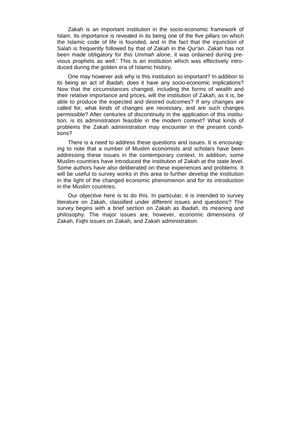Zakah is an important institution in the socio-economic framework of Islam. Its importance is revealed in its being one of the five pillars on which the Islamic code of life is founded, and in the fact that the injunction of Salah is frequently followed by that of Zakah in the Qur'an. Zakah has not been made obligatory for this *Ummah* alone, it was ordained during previous prophets as well.' This is an institution which was effectively introduced during the golden era of Islamic history.

One may however ask why is this institution so important? In addition to its being an act of *lbadah,* does it have any socio-economic implications? Now that the circumstances changed, including the forms of wealth and their relative importance and prices, will the institution of Zakah, as it is, be able to produce the expected and desired outcomes? If any changes are called for, what kinds of changes are necessary, and are such changes permissible? After centuries of discontinuity in the application of this institution, is its administration feasible in the modern context? What kinds of problems the Zakah administration may encounter in the present conditions?

There is a need to address these questions and issues. It is encouraging to note that a number of Muslim economists and scholars have been addressing these issues in the contemporary context. In addition, some Muslim countries have introduced the institution of Zakah at the state level. Some authors have also deliberated on these experiences and problems. It will be useful to survey works in this area to further develop the institution in the light of the changed economic phenomenon and for its introduction in the Muslim countries.

Our objective here is to do this. In particular, it is intended to survey literature on Zakah, classified under different issues and questions? The survey begins with a brief section on Zakah as *lbadah,* its meaning and philosophy. The major issues are, however, economic dimensions of Zakah, Fiqhi issues on Zakah, and Zakah administration.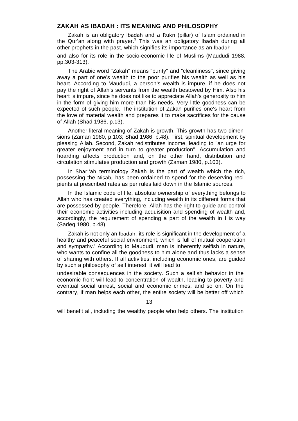## **ZAKAH AS IBADAH : ITS MEANING AND PHILOSOPHY**

Zakah is an obligatory *lbadah* and *a Rukn* (pillar) of Islam ordained in the Qur'an along with prayer.<sup>3</sup> This was an obligatory *Ibadah* during all other prophets in the past, which signifies its importance as an *lbadah*

and also for its role in the socio-economic life of Muslims (Maududi 1988, pp.303-313).

The Arabic word "Zakah" means "purity" and "cleanliness", since giving away a part of one's wealth to the poor purifies his wealth as well as his heart. According to Maududi, a person's wealth is impure, if he does not pay the right of Allah's servants from the wealth bestowed by Him. Also his heart is impure, since he does not like to appreciate Allah's generosity to him in the form of giving him more than his needs. Very little goodness can be expected of such people. The institution of Zakah purifies one's heart from the love of material wealth and prepares it to make sacrifices for the cause of Allah (Shad 1986, p.13).

Another literal meaning of Zakah is growth. This growth has two dimensions (Zaman 1980, p.103; Shad 1986, p.48). First, spiritual development by pleasing Allah. Second, Zakah redistributes income, leading to "an urge for greater enjoyment and in turn to greater production". Accumulation and hoarding affects production and, on the other hand, distribution and circulation stimulates production and growth (Zaman 1980, p.103).

In *Shari'ah* terminology Zakah is the part of wealth which the rich, possessing the *Nisab,* has been ordained to spend for the deserving recipients at prescribed rates as per rules laid down in the Islamic sources.

In the Islamic code of life, absolute ownership of everything belongs to Allah who has created everything, including wealth in its different forms that are possessed by people. Therefore, Allah has the right to guide and control their economic activities including acquisition and spending of wealth and, accordingly, the requirement of spending a part of the wealth in His way (Sadeq 1980, p.48).

Zakah is not only an *lbadah,* its role is significant in the development of a healthy and peaceful social environment, which is full of mutual cooperation and sympathy.' According to Maududi, man is inherently selfish in nature, who wants to confine all the goodness to him alone and thus lacks a sense of sharing with others. If all activities, including economic ones, are guided by such a philosophy of self interest, it will lead to

undesirable consequences in the society. Such a selfish behavior in the economic front will lead to concentration of wealth, leading to poverty and eventual social unrest, social and economic crimes, and so on. On the contrary, if man helps each other, the entire society will be better off which

13

will benefit all, including the wealthy people who help others. The institution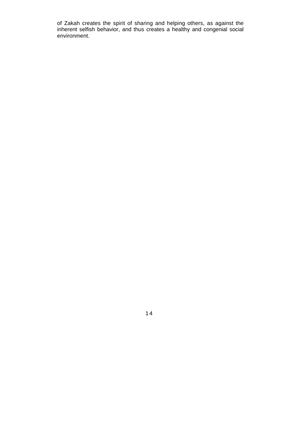of Zakah creates the spirit of sharing and helping others, as against the inherent selfish behavior, and thus creates a healthy and congenial social environment.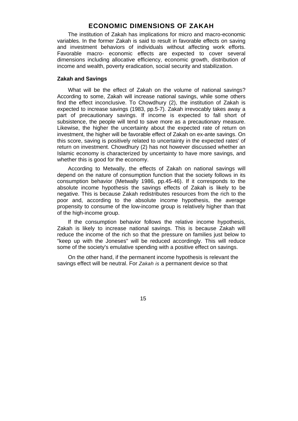## **ECONOMIC DIMENSIONS OF ZAKAH**

The institution of Zakah has implications for micro and macro-economic variables. In the former Zakah is said to result in favorable effects on saving and investment behaviors of individuals without affecting work efforts. Favorable macro- economic effects are expected to cover several dimensions including allocative efficiency, economic growth, distribution of income and wealth, poverty eradication, social security and stabilization.

#### **Zakah and Savings**

What will be the effect of Zakah on the volume of national savings? According to some, Zakah will increase national savings, while some others find the effect inconclusive. To Chowdhury (2), the institution of Zakah is expected to increase savings (1983, pp.5-7). Zakah irrevocably takes away a part of precautionary savings. If income is expected to fall short of subsistence, the people will tend to save more as a precautionary measure. Likewise, the higher the uncertainty about the expected rate of return on investment, the higher will be favorable effect of Zakah on ex-ante savings. On this score, saving is positively related to uncertainty in the expected rates' of return on investment. Chowdhury (2) has not however discussed whether an Islamic economy is characterized by uncertainty to have more savings, and whether this is good for the economy.

According to Metwally, the effects of Zakah on national savings will depend on the nature of consumption function that the society follows in its consumption behavior (Metwally 1986, pp.45-46). If it corresponds to the absolute income hypothesis the savings effects of Zakah is likely to be negative. This is because Zakah redistributes resources from the rich to the poor and, according to the absolute income hypothesis, the average propensity to consume of the low-income group is relatively higher than that of the high-income group.

If the consumption behavior follows the relative income hypothesis, Zakah is likely to increase national savings. This is because Zakah will reduce the income of the rich so that the pressure on families just below to "keep up with the Joneses" will be reduced accordingly. This will reduce some of the society's emulative spending with a positive effect on savings.

On the other hand, if the permanent income hypothesis is relevant the savings effect will be neutral. For *Zakah is* a permanent device so that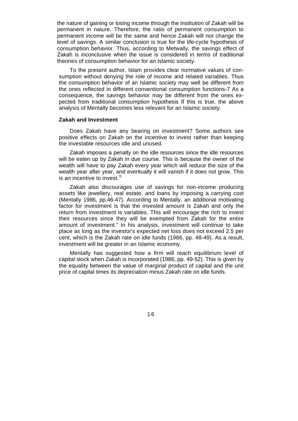the nature of gaining or losing income through the institution of Zakah will be permanent in nature. Therefore, the ratio of permanent consumption to permanent income will be the same and hence Zakah will not change the level of savings. A similar conclusion is true for the life-cycle hypothesis of consumption behavior. Thus, according to Metwally, the savings effect of Zakah is inconclusive when the issue is considered in terms of traditional theories of consumption behavior for an Islamic society.

To the present author, Islam provides clear normative values of consumption without denying the role of income and related variables. Thus the consumption behavior of an Islamic society may well be different from the ones reflected in different conventional consumption functions-7 As a consequence, the savings behavior may be different from the ones expected from traditional consumption hypothesis If this is true, the above analysis of Mentally becomes less relevant for an Islamic society.

## **Zakah and Investment**

Does Zakah have any bearing on investment? Some authors see positive effects on Zakah on the incentive to invest rather than keeping the investable resources idle and unused.

Zakah imposes a penalty on the idle resources since the idle resources will be eaten up by Zakah in due course. This is because the owner of the wealth will have to pay Zakah every year which will reduce the size of the wealth year after year, and eventually it will vanish if it does not grow. This is an incentive to invest.<sup>0</sup>

Zakah also discourages use of savings for non-income producing assets like jewellery, real estate, and loans by imposing a carrying cost (Mentally 1986, pp.46-47). According to Mentally, an additional motivating factor for investment is that the invested amount is Zakah and only the return from investment is variables. This will encourage the rich to invest their resources since they will be exempted from Zakah for the entire amount of investment." In his analysis, investment will continue to take place as long as the investor's expected net loss does not exceed 2.5 per cent, which is the Zakah rate on idle funds (1986, pp. 48-49). As a result, investment will be greater in an Islamic economy.

Mentally has suggested how a firm will reach equilibrium level of capital stock when Zakah is incorporated (1986, pp. 49-52). This is given by the equality between the value of marginal product of capital and the unit price of capital times its depreciation minus Zakah rate on idle funds.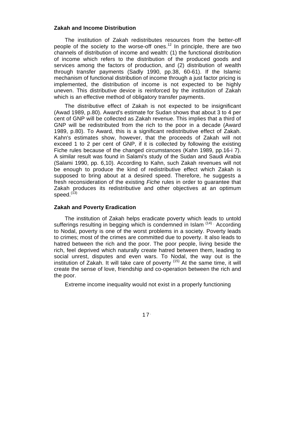#### **Zakah and Income Distribution**

The institution of Zakah redistributes resources from the better-off people of the society to the worse-off ones.<sup>12</sup> In principle, there are two channels of distribution of income and wealth: (1) the functional distribution of income which refers to the distribution of the produced goods and services among the factors of production, and (2) distribution of wealth through transfer payments (Sadly 1990, pp.38, 60-61). If the Islamic mechanism of functional distribution of income through a just factor pricing is implemented, the distribution of income is not expected to be highly uneven. This distributive device is reinforced by the institution of Zakah which is an effective method of obligatory transfer payments.

The distributive effect of Zakah is not expected to be insignificant (Awad 1989, p.80). Award's estimate for Sudan shows that about 3 to 4 per cent of GNP will be collected as Zakah revenue. This implies that a third of GNP will be redistributed from the rich to the poor in a decade (Award 1989, p.80). To Award, this is a significant redistributive effect of Zakah. Kahn's estimates show, however, that the proceeds of Zakah will not exceed 1 to 2 per cent of GNP, if it is collected by following the existing Fiche rules because of the changed circumstances (Kahn 1989, pp.16-i 7). A similar result was found in Salami's study of the Sudan and Saudi Arabia (Salami 1990, pp. 6,10). According to Kahn, such Zakah revenues will not be enough to produce the kind of redistributive effect which Zakah is supposed to bring about at a desired speed. Therefore, he suggests a fresh reconsideration of the existing *Fiche* rules in order to guarantee that Zakah produces its redistributive and other objectives at an optimum speed. $(13)$ 

### **Zakah and Poverty Eradication**

The institution of Zakah helps eradicate poverty which leads to untold sufferings resulting in begging which is condemned in Islam (14) According to Nodal, poverty is one of the worst problems in a society. Poverty leads to crimes; most of the crimes are committed due to poverty. It also leads to hatred between the rich and the poor. The poor people, living beside the rich, feel deprived which naturally create hatred between them, leading to social unrest, disputes and even wars. To Nodal, the way out is the institution of Zakah. It will take care of poverty  $(15)$  At the same time, it will create the sense of love, friendship and co-operation between the rich and the poor.

Extreme income inequality would not exist in a properly functioning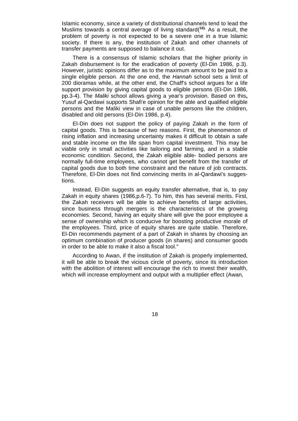Islamic economy, since a variety of distributional channels tend to lead the Muslims towards a central average of living standard(**16).** As a result, the problem of poverty is not expected to be a severe one in a true Islamic society. If there is any, the institution of Zakah and other channels of transfer payments are supposed to balance it out.

There is a consensus of Islamic scholars that the higher priority in Zakah disbursement is for the eradication of poverty (El-Din 1986, p.3). However, juristic opinions differ as to the maximum amount to be paid to a single eligible person. At the one end, the *Hannah* school sets a limit of 200 dioramas while, at the other end, the Chaff's school argues for a life support provision by giving capital goods to eligible persons (EI-Din 1986, pp.3-4). The *Maliki* school allows giving a year's provision. Based on this**,**  Yusuf al-Qardawi supports Shafi'e opinion for the able and qualified eligible persons and the Maliki view in case of unable persons like the children, disabled and old persons (EI-Din 1986, p.4).

El-Din does not support the policy of paying Zakah in the form of capital goods. This is because of two reasons. First, the phenomenon of rising inflation and increasing uncertainty makes it difficult to obtain a safe and stable income on the life span from capital investment. This may be viable only in small activities like tailoring and farming, and in a stable economic condition. Second, the Zakah eligible able- bodied persons are normally full-time employees, who cannot get benefit from the transfer of capital goods due to both time constraint and the nature of job contracts. Therefore, El-Din does not find convincing merits in al-Qardawi's suggestions.

Instead, El-Din suggests an equity transfer alternative, that is, to pay Zakah in equity shares (1986,p.6-7). To him, this has several merits. First, the Zakah receivers will be able to achieve benefits of large activities, since business through mergers is the characteristics of the growing economies. Second, having an equity share will give the poor employee a sense of ownership which is conducive for boosting productive morale of the employees. Third, price of equity shares are quite stable. Therefore, El-Din recommends payment of a part of Zakah in shares by choosing an optimum combination of producer goods (in shares) and consumer goods in order to be able to make it also a fiscal tool."

According to Awan, if the institution of Zakah is properly implemented, it will be able to break the vicious circle of poverty, since its introduction with the abolition of interest will encourage the rich to invest their wealth, which will increase employment and output with a multiplier effect (Awan,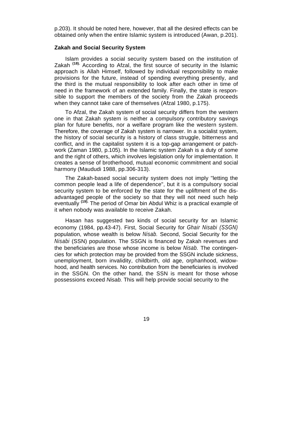p.203). It should be noted here, however, that all the desired effects can be obtained only when the entire Islamic system is introduced (Awan, p.201).

## **Zakah and Social Security System**

Islam provides a social security system based on the institution of Zakah **(18).** According to Afzal, the first source of security in the Islamic approach is Allah Himself, followed by individual responsibility to make provisions for the future, instead of spending everything presently, and the third is the mutual responsibility to look after each other in time of need in the framework of an extended family. Finally, the state is responsible to support the members of the society from the Zakah proceeds when they cannot take care of themselves (Afzal 1980, p.175).

To Afzal, the Zakah system of social security differs from the western one in that Zakah system is neither a compulsory contributory savings plan for future benefits, nor a welfare program like the western system. Therefore, the coverage of Zakah system is narrower. In a socialist system, the history of social security is a history of class struggle, bitterness and conflict, and in the capitalist system it is a top-gap arrangement or patchwork (Zaman 1980, p.105). In the Islamic system Zakah is a duty of some and the right of others, which involves legislation only for implementation. It creates a sense of brotherhood, mutual economic commitment and social harmony (Maududi 1988, pp.306-313).

The Zakah-based social security system does not imply "letting the common people lead a life of dependence", but it is a compulsory social security system to be enforced by the state for the upliftment of the disadvantaged people of the society so that they will not need such help eventually **(19).** The period of Omar bin Abdul Whiz is a practical example of it when nobody was available to receive Zakah.

Hasan has suggested two kinds of social security for an Islamic economy (1984, pp.43-47). First, Social Security for *Ghair Nisabi (SSGN)*  population, whose wealth is below *Nisab.* Second, Social Security for the *Nisabi* (SSN) population. The SSGN is financed by Zakah revenues and the beneficiaries are those whose income is below *Nisab.* The contingencies for which protection may be provided from the SSGN include sickness, unemployment, born invalidity, childbirth, old age, orphanhood, widowhood, and health services. No contribution from the beneficiaries is involved in the SSGN. On the other hand, the SSN is meant for those whose possessions exceed *Nisab.* This will help provide social security to the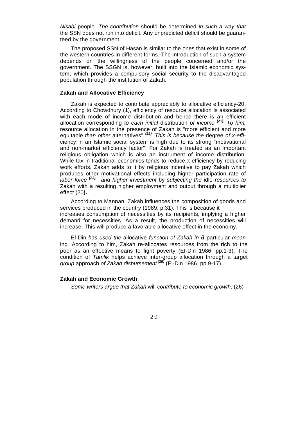*Nisabi* people. *The contribution* should be determined *in such a way that*  the SSN does not run into deficit. Any unpredicted deficit should be guaranteed by the government.

The proposed SSN of Hasan is similar to the ones that exist in some of the western countries in different forms. The introduction of such a system depends on the willingness of the people concerned and/or the government. The SSGN is, however, built into the Islamic economic system, which provides a compulsory social security to the disadvantaged population through the institution of Zakah.

#### **Zakah and Allocative Efficiency**

Zakah is expected to contribute appreciably to allocative efficiency-20. According to Chowdhury (1), efficiency of resource allocation is associated with each mode of income distribution and hence there is an efficient allocation corresponding *to each initial* distribution *of income* **(21).** *To him,*  resource allocation in the presence of Zakah is "more efficient and more equitable *than other* alternatives" *(22). This is because the* degree *of x-effi*ciency in an Islamic social system is high due to its strong "motivational and non-market efficiency factor". For Zakah is treated as an important religious obligation which is also an instrument of income distribution. While tax in traditional economics tends to reduce x-efficiency by reducing work efforts, Zakah adds to it by religious incentive to pay Zakah which produces other motivational effects including higher participation rate of *labor force (23), and higher investment* by *subjecting the* idle *resources to*  Zakah with a resulting higher employment and output through a multiplier effect (20**).**

According to Mannan, Zakah influences the composition of goods and services produced in the country (1989, p.31). This is because it increases consumption of necessities by its recipients, implying a higher demand for necessities. As a result, the production of necessities will increase. This will produce a favorable allocative effect in the economy.

El-Din *has used the* allocative *function of Zakah in a* particular *mean*ing. According to him, Zakah re-allocates resources from the rich to the poor as an effective means to fight poverty (EI-Din 1986, pp.1-3). The condition of *Tamlik* helps achieve inter-group allocation through a target *group* approach *of Zakah disbursement (25)* (El-Din 1986, pp.9-17).

#### **Zakah and Economic Growth**

*Some writers argue that Zakah* will *contribute to economic growth*. (26)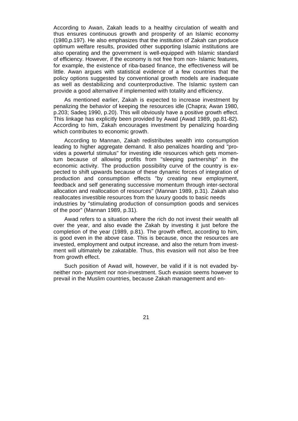According to Awan, Zakah leads to a healthy circulation of wealth and thus ensures continuous growth and prosperity of an Islamic economy (1980,p.197). He also emphasizes that the institution of Zakah can produce optimum welfare results, provided other supporting Islamic institutions are also operating and the government is well-equipped with Islamic standard of efficiency. However, if the economy is not free from non- Islamic features, for example, the existence of riba-based finance, the effectiveness will be little. Awan argues with statistical evidence of a few countries that the policy options suggested by conventional growth models are inadequate as well as destabilizing and counterproductive. The Islamic system can provide a good alternative if implemented with totality and efficiency.

As mentioned earlier, Zakah is expected to increase investment by penalizing the behavior of keeping the resources idle (Chapra; Awan 1980, p.203; Sadeq 1990, p.20). This will obviously have a positive growth effect. This linkage has explicitly been provided by Awad (Awad 1989, pp.81-82). According to him, Zakah encourages investment by penalizing hoarding which contributes to economic growth.

According to Mannan, Zakah redistributes wealth into consumption leading to higher aggregate demand. It also penalizes hoarding and "provides a powerful stimulus" for investing idle resources which gets momentum because of allowing profits from "sleeping partnership" in the economic activity. The production possibility curve of the country is expected to shift upwards because of these dynamic forces of integration of production and consumption effects "by creating new employment, feedback and self generating successive momentum through inter-sectoral allocation and reallocation of resources" (Mannan 1989, p.31). Zakah also reallocates investible resources from the luxury goods to basic needs industries by "stimulating production of consumption goods and services of the poor" (Mannan 1989, p.31).

Awad refers to a situation where the rich do not invest their wealth all over the year, and also evade the Zakah by investing it just before the completion of the year (1989, p.81). The growth effect, according to him, is good even in the above case. This is because, once the resources are invested, employment and output increase, and also the return from investment will ultimately be zakatable. Thus, this evasion will not also be free from growth effect.

Such position of Awad will, however, be valid if it is not evaded byneither non- payment nor non-investment. Such evasion seems however to prevail in the Muslim countries, because Zakah management and en-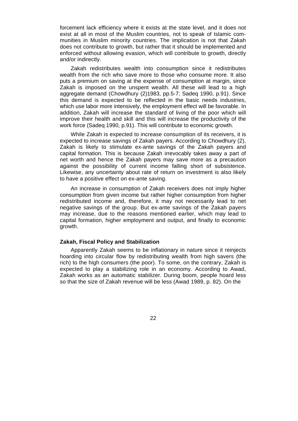forcement lack efficiency where it exists at the state level, and it does not exist at all in most of the Muslim countries, not to speak of Islamic communities in Muslim minority countries. The implication is not that Zakah does not contribute to growth, but rather that it should be implemented and enforced without allowing evasion, which will contribute to growth, directly and/or indirectly.

Zakah redistributes wealth into consumption since it redistributes wealth from the rich who save more to those who consume more. It also puts a premium on saving at the expense of consumption at margin, since Zakah is imposed on the unspent wealth. All these will lead to a high aggregate demand (Chowdhury (2)1983, pp.5-7; Sadeq 1990, p.91). Since this demand is expected to be reflected in the basic needs industries, which use labor more intensively, the employment effect will be favorable. In addition, Zakah will increase the standard of living of the poor which will improve their health and skill and this will increase the productivity of the work force (Sadeq 1990, p.91). This will contribute to economic growth.

While Zakah is expected to increase consumption of its receivers, it is expected to increase savings of Zakah payers. According to Chowdhury (2), Zakah is likely to stimulate ex-ante savings of the Zakah payers and capital formation. This is because Zakah irrevocably takes away a part of net worth and hence the Zakah payers may save more as a precaution against the possibility of current income falling short of subsistence. Likewise, any uncertainty about rate of return on investment is also likely to have a positive effect on ex-ante saving.

An increase in consumption of Zakah receivers does not imply higher consumption from given income but rather higher consumption from higher redistributed income and, therefore, it may not necessarily lead to net negative savings of the group. But ex-ante savings of the Zakah payers may increase, due to the reasons mentioned earlier, which may lead to capital formation, higher employment and output, and finally to economic growth.

## **Zakah, Fiscal Policy and Stabilization**

Apparently Zakah seems to be inflationary in nature since it reinjects hoarding into circular flow by redistributing wealth from high savers (the rich) to the high consumers (the poor). To some, on the contrary, Zakah is expected to play a stabilizing role in an economy. According to Awad, Zakah works as an automatic stabilizer. During boom, people hoard less so that the size of Zakah revenue will be less (Awad 1989, p. 82). On the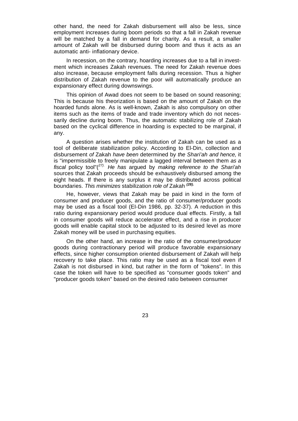other hand, the need for Zakah disbursement will also be less, since employment increases during boom periods so that a fall in Zakah revenue will be matched by a fall in demand for charity. As a result, a smaller amount of Zakah will be disbursed during boom and thus it acts as an automatic anti- inflationary device.

In recession, on the contrary, hoarding increases due to a fall in investment which increases Zakah revenues. The need for Zakah revenue does also increase, because employment falls during recession. Thus a higher distribution of Zakah revenue to the poor will automatically produce an expansionary effect during downswings.

This opinion of Awad does not seem to be based on sound reasoning; This is because his theorization is based on the amount of Zakah on the hoarded funds alone. As is well-known, Zakah is also compulsory on other items such as the items of trade and trade inventory which do not necessarily decline during boom. Thus, the automatic stabilizing role of Zakah based on the cyclical difference in hoarding is expected to be marginal, if any.

A question arises whether the institution of Zakah can be used as a tool of deliberate stabilization policy. According to El-Din, collection and disbursement *of* Zakah *have been* determined by *the Shari'ah and hence,* it is "impermissible to freely manipulate a lagged interval between them *as a fiscal* policy tool"(*27). He has* argued by *making reference to the Shari'ah*  sources that Zakah proceeds should be exhaustively disbursed among the eight heads. If there is any surplus it may be distributed across political boundaries. *This minimizes* stabilization *role of* Zakah *(28).*

He, however, views that Zakah may be paid in kind in the form of consumer and producer goods, and the ratio of consumer/producer goods may be used as a fiscal tool (EI-Din 1986, pp. 32-37). A reduction in this ratio during expansionary period would produce dual effects. Firstly, a fall in consumer goods will reduce accelerator effect, and a rise in producer goods will enable capital stock to be adjusted to its desired level as more Zakah money will be used in purchasing equities.

On the other hand, an increase in the ratio of the consumer/producer goods during contractionary period will produce favorable expansionary effects, since higher consumption oriented disbursement of Zakah will help recovery to take place. This ratio may be used as a fiscal tool even if Zakah is not disbursed in kind, but rather in the form of "tokens". In this case the token will have to be specified as "consumer goods token" and "producer goods token" based on the desired ratio between consumer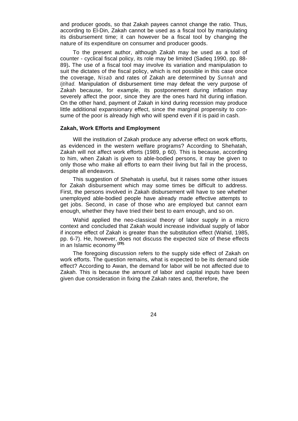and producer goods, so that Zakah payees cannot change the ratio. Thus, according to El-Din, Zakah cannot be used as a fiscal tool by manipulating its disbursement time; it can however be a fiscal tool by changing the nature of its expenditure on consumer and producer goods.

To the present author, although Zakah may be used as a tool of counter - cyclical fiscal policy, its role may be limited (Sadeq 1990, pp. 88- 89)**.** The use of a fiscal tool may involve its variation and manipulation to suit the dictates of the fiscal policy, which is not possible in this case once the coverage, *Nisab* and rates of Zakah are determined by *Sunnah* and *Ijtihad.* Manipulation of disbursement time may defeat the very purpose of Zakah because, for example, its postponement during inflation may severely affect the poor, since they are the ones hard hit during inflation. On the other hand, payment of Zakah in kind during recession may produce little additional expansionary effect, since the marginal propensity to consume of the poor is already high who will spend even if it is paid in cash.

## **Zakah, Work Efforts and Employment**

Will the institution of Zakah produce any adverse effect on work efforts, as evidenced in the western welfare programs? According to Shehatah, Zakah will not affect work efforts (1989, p 60). This is because, according to him, when Zakah is given to able-bodied persons, it may be given to only those who make all efforts to earn their living but fail in the process, despite all endeavors.

This suggestion of Shehatah is useful, but it raises some other issues for Zakah disbursement which may some times be difficult to address. First, the persons involved in Zakah disbursement will have to see whether unemployed able-bodied people have already made effective attempts to get jobs. Second, in case of those who are employed but cannot earn enough, whether they have tried their best to earn enough, and so on.

Wahid applied the neo-classical theory of labor supply in a micro context and concluded that Zakah would increase individual supply of labor if income effect of Zakah is greater than the substitution effect (Wahid, 1985, pp. 6-7). He, however, does not discuss the expected size of these effects in an Islamic economy **(29).**

The foregoing discussion refers to the supply side effect of Zakah on work efforts. The question remains, what is expected to be its demand side effect? According to Awan, the demand for labor will be not affected due to Zakah. This is because the amount of labor and capital inputs have been given due consideration in fixing the Zakah rates and, therefore, the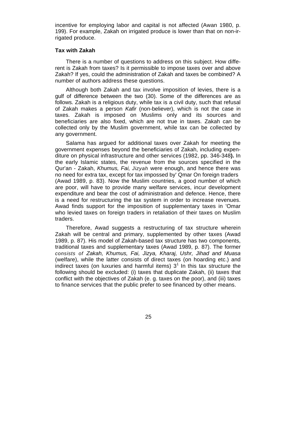incentive for employing labor and capital is not affected (Awan 1980, p. 199). For example, Zakah on irrigated produce is lower than that on non-irrigated produce.

#### **Tax with Zakah**

There is a number of questions to address on this subject. How different is Zakah from taxes? Is it permissible to impose taxes over and above Zakah? If yes, could the administration of Zakah and taxes be combined? A number of authors address these questions.

Although both Zakah and tax involve imposition of levies, there is a gulf of difference between the two (30). Some of the differences are as follows. Zakah is a religious duty, while tax is a civil duty, such that refusal of Zakah makes a person *Kafir* (non-believer), which is not the case in taxes. Zakah is imposed on Muslims only and its sources and beneficiaries are also fixed, which are not true in taxes. Zakah can be collected only by the Muslim government, while tax can be collected by any government.

Salama has argued for additional taxes over Zakah for meeting the government expenses beyond the beneficiaries of Zakah, including expenditure on physical infrastructure and other services (1982, pp. 346-348**).** In the early Islamic states, the revenue from the sources specified in the Qur'an - Zakah, *Khumus, Fai, Jizyah* were enough, and hence there was no need for extra tax, except for tax impossed by' Qmar On foreign traders (Awad 1989, p. 83). Now the Muslim countries, a good number of which are poor, will have to provide many welfare services, incur development expenditure and bear the cost of administration and defence. Hence, there is a need for restructuring the tax system in order to increase revenues. Awad finds support for the imposition of supplementary taxes in 'Omar who levied taxes on foreign traders in retaliation of their taxes on Muslim traders.

Therefore, Awad suggests a restructuring of tax structure wherein Zakah will be central and primary, supplemented by other taxes (Awad 1989, p. 87). His model of Zakah-based tax structure has two components, traditional taxes and supplementary taxes (Awad 1989, p. 87). The former *consists of Zakah, Khumus, Fai, Jizya, Kharaj, Ushr, Jihad and Muasa*  (welfare), while the latter consists of direct taxes (on hoarding etc.) and indirect taxes (on luxuries and harmful items)  $3<sup>1</sup>$  In this tax structure the following should be excluded: (i) taxes that duplicate Zakah, (ii) taxes that conflict with the objectives of Zakah (e. g. taxes on the poor), and (iii) taxes to finance services that the public prefer to see financed by other means.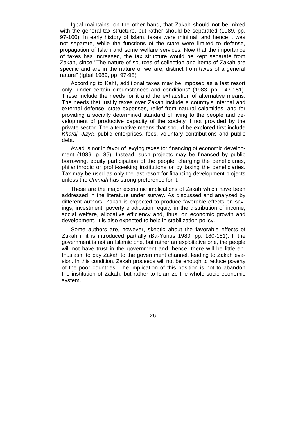Igbal maintains, on the other hand, that Zakah should not be mixed with the general tax structure, but rather should be separated (1989, pp. 97-100). In early history of Islam, taxes were minimal, and hence it was not separate, while the functions of the state were limited to defense, propagation of Islam and some welfare services. Now that the importance of taxes has increased, the tax structure would be kept separate from Zakah, since "The nature of sources of collection and items of Zakah are specific and are in the nature of welfare, distinct from taxes of a general nature" (Igbal 1989, pp. 97-98).

According to Kahf, additional taxes may be imposed as a last resort only "under certain circumstances and conditions" (1983, pp. 147-151). These include the needs for it and the exhaustion of alternative means. The needs that justify taxes over Zakah include a country's internal and external defense, state expenses, relief from natural calamities, and for providing a socially determined standard of living to the people and development of productive capacity of the society if not provided by the private sector. The alternative means that should be explored first include *Kharaj, Jizya,* public enterprises, fees, voluntary contributions and public debt.

Awad is not in favor of levying taxes for financing of economic development (1989, p. 85). Instead, such projects may be financed by public borrowing, equity participation of the people, charging the beneficiaries, philanthropic or profit-seeking institutions or by taxing the beneficiaries. Tax may be used as only the last resort for financing development projects unless the *Ummah* has strong preference for it.

These are the major economic implications of Zakah which have been addressed in the literature under survey. As discussed and analyzed by different authors, Zakah is expected to produce favorable effects on savings, investment, poverty eradication, equity in the distribution of income, social welfare, allocative efficiency and, thus, on economic growth and development. It is also expected to help in stabilization policy.

Some authors are, however, skeptic about the favorable effects of Zakah if it is introduced partially (Ba-Yunus 1980, pp. 180-181). If the government is not an Islamic one, but rather an exploitative one, the people will not have trust in the government and, hence, there will be little enthusiasm to pay Zakah to the government channel, leading to Zakah evasion. In this condition, Zakah proceeds will not be enough to reduce poverty of the poor countries. The implication of this position is not to abandon the institution of Zakah, but rather to Islamize the whole socio-economic system.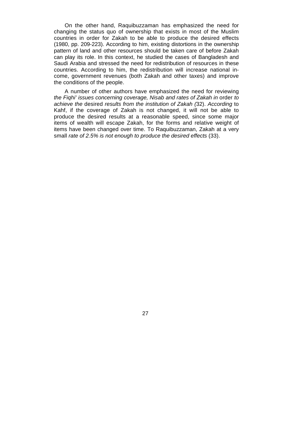On the other hand, Raquibuzzaman has emphasized the need for changing the status quo of ownership that exists in most of the Muslim countries in order for Zakah to be able to produce the desired effects (1980, pp. 209-223). According to him, existing distortions in the ownership pattern of land and other resources should be taken care of before Zakah can play its role. In this context, he studied the cases of Bangladesh and Saudi Arabia and stressed the need for redistribution of resources in these countries. According to him, the redistribution will increase national income, government revenues (both Zakah and other taxes) and improve the conditions of the people.

A number of other authors have emphasized the need for reviewing *the Fiqhi' issues concerning coverage, Nisab and rates of Zakah in* order *to achieve the* desired *results from the institution of Zakah (*32). *According* to Kahf, if the coverage of Zakah is not changed, it will not be able to produce the desired results at a reasonable speed, since some major items of wealth will escape Zakah, for the forms and relative weight of items have been changed over time. To Raquibuzzaman, Zakah at a very small *rate of 2.5% is not enough to produce the desired effects* (33).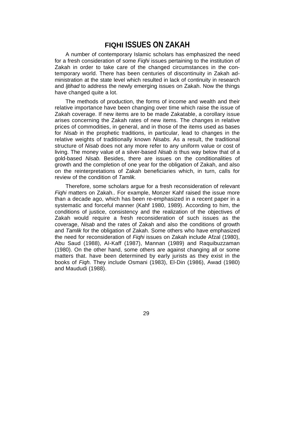# **FIQHI ISSUES ON ZAKAH**

A number of contemporary Islamic scholars has emphasized the need for a fresh consideration of some *Fiqhi* issues pertaining to the institution of Zakah in order to take care of the changed circumstances in the contemporary world. There has been centuries of discontinuity in Zakah administration at the state level which resulted in lack of continuity in research and *ljtihad* to address the newly emerging issues on Zakah. Now the things have changed quite a lot.

The methods of production, the forms of income and wealth and their relative importance have been changing over time which raise the issue of Zakah coverage. If new items are to be made Zakatable, a corollary issue arises concerning the Zakah rates of new items. The changes in relative prices of commodities, in general, and in those of the items used as bases for *Nisab* in the prophetic traditions, in particular, lead to changes in the relative weights of traditionally known *Nisabs.* As a result, the traditional structure of *Nisab* does not any more refer to any uniform value or cost of living. The money value of a silver-based *Nisab is* thus way below that of a gold-based *Nisab.* Besides, there are issues on the conditionalities of growth and the completion of one year for the obligation of Zakah, and also on the reinterpretations of Zakah beneficiaries which, in turn, calls for review of the condition of *Tamlik.*

Therefore, some scholars argue for a fresh reconsideration of relevant *Fiqhi* matters on Zakah.. For example, Monzer Kahf raised the issue more than a decade ago, which has been re-emphasized in a recent paper in a systematic and forceful manner (Kahf 1980, 1989). According to him, the conditions of justice, consistency and the realization of the objectives of Zakah would require a fresh reconsideration of such issues as the coverage, *Nisab* and the rates of Zakah and also the conditions of growth and *Tamlik* for the obligation of Zakah. Some others who have emphasized the need for reconsideration of *Fiqhi* issues on Zakah include Afzal (1980), Abu Saud (1988), AI-Kaff (1987), Mannan (1989) and Raquibuzzaman (1980). On the other hand, some others are against changing all or some matters that. have been determined by early jurists as they exist in the books of *Fiqh.* They include Osmani (1983), El-Din (1986), Awad (1980) and Maududi (1988).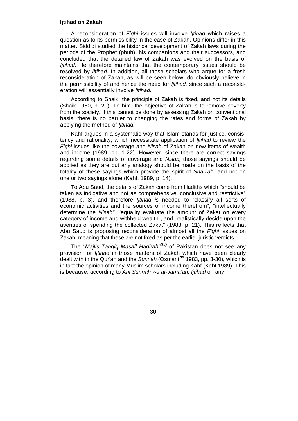#### **Ijtihad on Zakah**

A reconsideration of *Fiqhi* issues will involve *Ijtihad* which raises a question as to its permissibility in the case of Zakah. Opinions differ in this matter. Siddiqi studied the historical development of Zakah laws during the periods of the Prophet (pbuh), his companions and their successors, and concluded that the detailed law of Zakah was evolved on the basis of *Ijtihad.* He therefore maintains that the contemporary issues should be resolved by *Ijtihad.* In addition, all those scholars who argue for a fresh reconsideration of Zakah, as will be seen below, do obviously believe in the permissibility of and hence the need for *Ijtihad,* since such a reconsideration will essentially involve *Ijtihad.*

According to Shaik, the principle of Zakah is fixed, and not its details (Shaik 1980, p. 20). To him, the objective of Zakah is to remove poverty from the society. If this cannot be done by assessing Zakah on conventional basis, there is no barrier to changing the rates and forms of Zakah by applying the method of *Ijtihad.*

Kahf argues in a systematic way that Islam stands for justice, consistency and rationality, which necessitate application of *Ijtihad* to review the *Fiqhi* issues like the coverage and *Nisab* of Zakah on new items of wealth and income (1989, pp. 1-22). However, since there are correct sayings regarding some details of coverage and *Nisab,* those sayings should be applied as they are but any analogy should be made on the basis of the totality of these sayings which provide the spirit of *Shari'ah,* and not on one or two sayings alone (Kahf, 1989, p. 14).

To Abu Saud, the details of Zakah come from Hadiths which "should be taken as indicative and not as comprehensive, conclusive and restrictive" (1988, p. 3), and therefore *Ijtihad is* needed to "classify all sorts of economic activities and the sources of income therefrom", "intellectually determine the *Nisab",* "equality evaluate the amount of Zakat on every category of income and withheld wealth", and "realistically decide upon the avenues of spending the collected Zakat" (1988, p. 21). This reflects that Abu Saud is proposing reconsideration of almost all the *Fiqhi* issues on Zakah, meaning that these are not fixed as per the earlier juristic verdicts.

The *"Majlis Tahqiq Masail Hadirah"(34)* of Pakistan does not see any provision for *Ijtihad* in those matters of Zakah which have been clearly dealt with in the Qur'an and the *Sunnah* (Osmani**<sup>35</sup>** 1983, pp. 3-30), which is in fact the opinion of many Muslim scholars including Kahf (Kahf 1989). This is because, according to *Ahl Sunnah wa aI-Jama'ah, Ijtihad* on any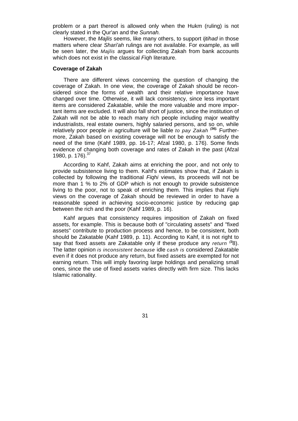problem or a part thereof is allowed only when the Hukm (ruling) is not clearly stated in the Qur'an and the *Sunnah.*

However, the *Majlis* seems, like many others, to support *Ijtihad* in those matters where clear *Shari'ah* rulings are not available. For example, as will be seen later, the *Majlis* argues for collecting Zakah from bank accounts which does not exist in the classical *Fiqh* literature.

#### **Coverage of Zakah**

There are different views concerning the question of changing the coverage of Zakah. In one view, the coverage of Zakah should be reconsidered since the forms of wealth and their relative importance have changed over time. Otherwise, it will lack consistency, since less important items are considered Zakatable, while the more valuable and more important items are excluded. It will also fall short of justice, since the institution of Zakah will not be able to reach many rich people including major wealthy industrialists, real estate owners, highly salaried persons, and so on, while relatively poor people *in* agriculture will be liable *to pay Zakah (36).* Furthermore, Zakah based on existing coverage will not be enough to satisfy the need of the time (Kahf 1989, pp. 16-17; Afzal 1980, p. 176). Some finds evidence of changing both coverage and rates of Zakah in the past (Afzal 1980, p. 176).<sup>37</sup>

According to Kahf, Zakah aims at enriching the poor, and not only to provide subsistence living to them. Kahf's estimates show that, if Zakah is collected by following the traditional *Fiqhi* views, its proceeds will not be more than 1 % to 2% of GDP which is not enough to provide subsistence living to the poor, not to speak of enriching them. This implies that *Fiqhi*  views on the coverage of Zakah should be reviewed in order to have a reasonable speed in achieving socio-economic justice by reducing gap between the rich and the poor (Kahf 1989, p. 16).

Kahf argues that consistency requires imposition of Zakah on fixed assets, for example. This is because both of "circulating assets" and "fixed assets" contribute to production process and hence, to be consistent, both should be Zakatable (Kahf 1989, p. 11). According to Kahf, it is not right to say that fixed assets are Zakatable only if these produce any *return (3*8). The latter opinion *is inconsistent because* idle *cash is* considered Zakatable even if it does not produce any return, but fixed assets are exempted for not earning return. This will imply favoring large holdings and penalizing small ones, since the use of fixed assets varies directly with firm size. This lacks Islamic rationality.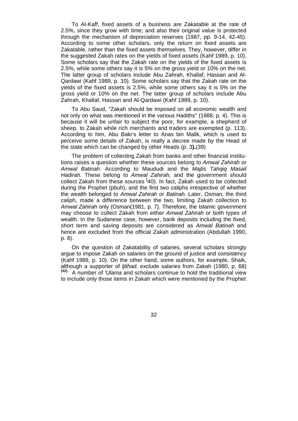To Al-Kaff, fixed assets of a business are Zakatable at the rate of 2.5%, since they grow with time; and also their original value is protected through the mechanism of depreciation reserves (1987, pp. 9-14, 42-45). According to some other scholars, only the return on fixed assets are Zakatable, rather than the fixed assets themselves. They, however, differ in the suggested Zakah rates on the yields of fixed assets (Kahf 1989, p. 10). Some scholars say that the Zakah rate on the yields of the fixed assets is 2.5%, while some others say it is 5% on the gross yield or 10% on the net. The latter group of scholars include Abu Zahrah, Khallaf, Hassan and Al-Qardawi (Kahf 1989, p. 10). Some scholars say that the Zakah rate on the yields of the fixed assets is 2.5%, while some others say it is 5% on the gross yield or 10% on the net. The latter group of scholars include Abu Zahrah, Khallaf, Hassan and Al-Qardawi (Kahf 1989, p. 10).

To Abu Saud, "Zakah should be imposed on all economic wealth and not only on what was mentioned in the various Hadiths" (1988, p. 4). This is because it will be unfair to subject the poor, for example, a shepherd of sheep, to Zakah while rich merchants and traders are exempted (p. 113). According to him, Abu Bakr's letter to Anas bin Malik, which is used to perceive some details of Zakah, is really a decree made by the Head of the state which can be changed by other Heads (p. 3**).**(39)

The problem of collecting Zakah from banks and other financial institutions raises a question whether these sources belong to *Amwal Zahirah* or *Amwal Batinah.* According to Maududi and the *Majlis Tahqiq Masail Hadirah.* These belong to *Amwal Zahirah,* and the government should collect Zakah from these sources **(** 40). In fact, Zakah used to be collected during the Prophet (pbuh), and the first two caliphs irrespective of whether the wealth belonged to *Amwal Zahirah* or *Batinah.* Later, Osman, the third caliph, made a difference between the two, limiting Zakah collection to *Amwal Zahirah* only (Osman(1981, p. 7). Therefore, the Islamic government may choose to collect Zakah from either *Amwal Zahirah* or both types of wealth. In the Sudanese case, however, bank deposits including the fixed, short term and saving deposits are considered as *Amwal Batinah* and hence are excluded from the official Zakah administration (Abdullah 1990, p. 8).

On the question of Zakatability of salaries, several scholars strongly argue to impose Zakah on salaries on the ground of justice and consistency (Kahf 1989, p. 10). On the other hand, some authors, for example, Shaik, although a supporter of *ljtihad.* exclude salaries from Zakah (1980, p. 68) **(42).** A number of *'Ulama* and scholars continue to hold the traditional view to include only those items in Zakah which were mentioned by the Prophet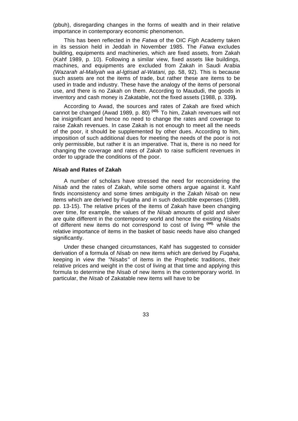(pbuh), disregarding changes in the forms of wealth and in their relative importance in contemporary economic phenomenon.

This has been reflected in the *Fatwa* of the OIC *Figh* Academy taken in its session held in Jeddah in November 1985. The *Fatwa* excludes building, equipments and machineries, which are fixed assets, from Zakah (Kahf 1989, p. 10). Following a similar view, fixed assets like buildings, machines, and equipments are excluded from Zakah in Saudi Arabia *(Wazarah al-Maliyah wa al-lgtisad al-Watani,* pp. 58, 92). This is because such assets are not the items of trade, but rather these are items to be used in trade and industry. These have the analogy of the items of personal use, and there is no Zakah on them. According to Maududi, the goods in inventory and cash money is Zakatable, not the fixed assets (1988, p. 339**).**

According to Awad, the sources and rates of Zakah are fixed which cannot be changed (Awad 1989, p. 80) **(43).** To him, Zakah revenues will not be insignificant and hence no need to change the rates and coverage to raise Zakah revenues. In case Zakah is not enough to meet all the needs of the poor, it should be supplemented by other dues. According to him, imposition of such additional dues for meeting the needs of the poor is not only permissible, but rather it is an imperative. That is, there is no need for changing the coverage and rates of Zakah to raise sufficient revenues in order to upgrade the conditions of the poor.

### *Nisab* **and Rates of Zakah**

A number of scholars have stressed the need for reconsidering the *Nisab* and the rates of Zakah, while some others argue against it. Kahf finds inconsistency and some times ambiguity in the Zakah *Nisab* on new items which are derived by Fuqaha and in such deductible expenses (1989, pp. 13-15). The relative prices of the items of Zakah have been changing over time, for example, the values of the *Nisab* amounts of gold and silver are quite different in the contemporary world and hence the existing *Nisabs*  of different new items do not correspond to cost of living **(44).** while the relative importance of items in the basket of basic needs have also changed significantly.

Under these changed circumstances, Kahf has suggested to consider derivation of a formula of *Nisab* on new items which are derived by *Fuqaha,*  keeping in view the *"Nisabs"* of items in the Prophetic traditions, their relative prices and weight in the cost of living at that time and applying this formula to determine the *Nisab* of new items in the contemporary world. In particular, the *Nisab* of Zakatable new items will have to be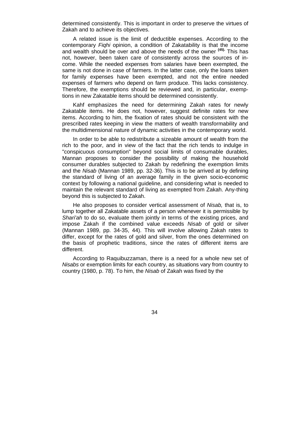determined consistently. This is important in order to preserve the virtues of Zakah and to achieve its objectives.

A related issue is the limit of deductible expenses. According to the contemporary *Fiqhi* opinion, a condition of Zakatability is that the income and wealth should be over and above the needs of the owner **(45).** This has not, however, been taken care of consistently across the sources of income. While the needed expenses from salaries have been exempted, the same is not done in case of farmers. In the latter case, only the loans taken for family expenses have been exempted, and not the entire needed expenses of farmers who depend on farm produce. This lacks consistency. Therefore, the exemptions should be reviewed and, in particular, exemptions in new Zakatable items should be determined consistently.

Kahf emphasizes the need for determining Zakah rates for newly Zakatable items. He does not, however, suggest definite rates for new items. According to him, the fixation of rates should be consistent with the prescribed rates keeping in view the matters of wealth transformability and the multidimensional nature of dynamic activities in the contemporary world.

In order to be able to redistribute a sizeable amount of wealth from the rich to the poor, and in view of the fact that the rich tends to indulge in "conspicuous consumption" beyond social limits of consumable durables, Mannan proposes to consider the possibility of making the household consumer durables subjected to Zakah by redefining the exemption limits and the *Nisab* (Mannan 1989, pp. 32-36). This is to be arrived at by defining the standard of living of an average family in the given socio-economic context by following a national guideline, and considering what is needed to maintain the relevant standard of living as exempted from Zakah. Any-thing beyond this is subjected to Zakah.

He also proposes to consider vertical assessment of *Nisab,* that is, to lump together all Zakatable assets of a person whenever it is permissible by *Shari'ah* to do so, evaluate them jointly in terms of the existing prices, and impose Zakah if the combined value exceeds *Nisab* of gold or silver (Mannan 1989, pp. 34-35, 44). This will involve allowing Zakah rates to differ, except for the rates of gold and silver, from the ones determined on the basis of prophetic traditions, since the rates of different items are different.

According to Raquibuzzaman, there is a need for a whole new set of *Nisabs* or exemption limits for each country, as situations vary from country to country (1980, p. 78). To him, the *Nisab* of Zakah was fixed by the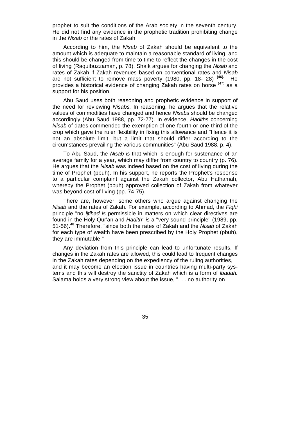prophet to suit the conditions of the Arab society in the seventh century. He did not find any evidence in the prophetic tradition prohibiting change in the *Nisab* or the rates of Zakah.

According to him, the *Nisab* of Zakah should be equivalent to the amount which is adequate to maintain a reasonable standard of living, and this should be changed from time to time to reflect the changes in the cost of living (Raquibuzzaman, p. 78). Shaik argues for changing the *Nisab* and rates of Zakah if Zakah revenues based on conventional rates and *Nisab*  are not sufficient to remove mass poverty (1980, pp. 18- 28) **(46).** He provides a historical evidence of changing Zakah rates on horse  $(47)$  as a support for his position.

Abu Saud uses both reasoning and prophetic evidence in support of the need for reviewing *Nisabs.* In reasoning, he argues that the relative values of commodities have changed and hence *Nisabs* should be changed accordingly (Abu Saud 1988, pp. 72-77). In evidence, *Hadiths* concerning *Nisab* of dates commended the exemption of one-fourth or one-third of the crop which gave the ruler flexibility in fixing this allowance and "Hence it is not an absolute limit, but a limit that should differ according to the circumstances prevailing the various communities" (Abu Saud 1988, p. 4).

To Abu Saud, the *Nisab is* that which is enough for sustenance of an average family for a year, which may differ from country to country (p. 76). He argues that the *Nisab* was indeed based on the cost of living during the time of Prophet (pbuh). In his support, he reports the Prophet's response to a particular complaint against the Zakah collector, Abu Hathamah, whereby the Prophet (pbuh) approved collection of Zakah from whatever was beyond cost of living (pp. 74-75).

There are, however, some others who argue against changing the *Nisab* and the rates of Zakah. For example, according to Ahmad, the *Fiqhi*  principle "no *ljtihad is* permissible in matters on which clear directives are found in the Holy Qur'an and *Hadith" is* a "very sound principle" (1989, pp. 51-56).**<sup>48</sup>** Therefore, "since both the rates of Zakah and the *Nisab* of Zakah for each type of wealth have been prescribed by the Holy Prophet (pbuh), they are immutable."

Any deviation from this principle can lead to unfortunate results. If changes in the Zakah rates are allowed, this could lead to frequent changes in the Zakah rates depending on the expediency of the ruling authorities, and it may become an election issue in countries having multi-party systems and this will destroy the sanctity of Zakah which is a form of *lbadah.*  Salama holds a very strong view about the issue, ". . . no authority on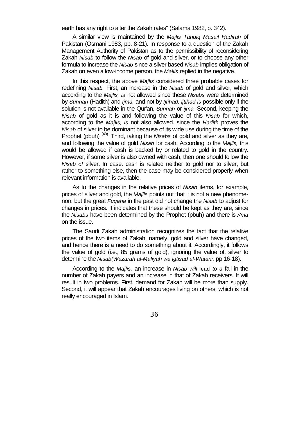earth has any right to alter the Zakah rates" (Salama 1982, p. 342).

A similar view is maintained by the *Majlis Tahqiq Masail Hadirah* of Pakistan (Osmani 1983, pp. 8-21). In response to a question of the Zakah Management Authority of Pakistan as to the permissibility of reconsidering Zakah *Nisab* to follow the *Nisab* of gold and silver, or to choose any other formula to increase the *Nisab* since a silver based *Nisab* implies obligation of Zakah on even a low-income person, the *Majlis* replied in the negative.

In this respect, the above *Majlis* considered three probable cases for redefining *Nisab.* First, an increase in the *Nisab* of gold and silver, which according to the *Majlis, is* not allowed since these *Nisabs* were determined by *Sunnah* (Hadith) and *Ijma,* and not by *Ijtihad. ljtihad is* possible only if the solution is not available in the Qur'an, *Sunnah* or *ijma.* Second, keeping the *Nisab* of gold as it is and following the value of this *Nisab* for which, according to the *Majlis, is* not also allowed. since the *Hadith* proves the *Nisab* of silver to be dominant because of its wide use during the time of the Prophet (pbuh) (49). Third, taking the *Nisabs* of gold and silver as they are, and following the value of gold *Nisab* for cash. According to the *Majlis,* this would be allowed if cash is backed by or related to gold in the country. However, if some silver is also owned with cash, then one should follow the *Nisab of* silver. In case. cash is related neither to gold nor to silver, but rather to something else, then the case may be considered properly when relevant information is available.

As to the changes in the relative prices of *Nisab* items, for example, prices of silver and gold, the *Majlis* points out that it is not a new phenomenon, but the great *Fuqaha* in the past did not change the *Nisab* to adjust for changes in prices. It indicates that these should be kept as they are, since the *Nisabs* have been determined by the Prophet (pbuh) and there is *//ma*  on the issue.

The Saudi Zakah administration recognizes the fact that the relative prices of the two items of Zakah, namely, gold and silver have changed, and hence there is a need to do something about it. Accordingly, it follows the value of gold (i.e., 85 grams of gold), ignoring the value of. silver to determine the *Nisab(Wazarah al-Maliyah wa lgtisad al-Watani,* pp.16-18).

According to the *Majlis,* an increase in *Nisab will* lead *to a* fall in the number of Zakah payers and an increase in that of Zakah receivers. It will result in two problems. First, demand for Zakah will be more than supply. Second, it will appear that Zakah encourages living on others, which is not really encouraged in Islam.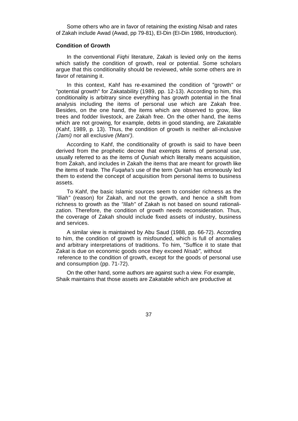Some others who are in favor of retaining the existing *Nisab* and rates of Zakah include Awad (Awad, pp 79-81), El-Din (EI-Din 1986, Introduction).

#### **Condition of Growth**

In the conventional *Fiqhi* literature, Zakah is levied only on the items which satisfy the condition of growth, real or potential. Some scholars argue that this conditionality should be reviewed, while some others are in favor of retaining it.

In this context, Kahf has re-examined the condition of "growth" or "potential growth" for Zakatability (1989, pp. 12-13). According to him, this conditionality is arbitrary since everything has growth potential in the final analysis including the items of personal use which are Zakah free. Besides, on the one hand, the items which are observed to grow, like trees and fodder livestock, are Zakah free. On the other hand, the items which are not growing, for example, debts in good standing, are Zakatable (Kahf, 1989, p. 13). Thus, the condition of growth is neither all-inclusive *(Jami)* nor all exclusive *(Mani').*

According to Kahf, the conditionality of growth is said to have been derived from the prophetic decree that exempts items of personal use, usually referred to as the items of *Quniah* which literally means acquisition, from Zakah, and includes in Zakah the items that are meant for growth like the items of trade. The *Fuqaha's* use of the term *Quniah* has erroneously led them to extend the concept of acquisition from personal items to business assets.

To Kahf, the basic Islamic sources seem to consider richness as the *"lliah"* (reason) for Zakah, and not the growth, and hence a shift from richness to growth as the *"Illah"* of Zakah is not based on sound rationalization. Therefore, the condition of growth needs reconsideration. Thus, the coverage of Zakah should include fixed assets of industry, business and services.

A similar view is maintained by Abu Saud (1988, pp. 66-72). According to him, the condition of growth is misfounded, which is full of anomalies and arbitrary interpretations of traditions. To him, "Suffice it to state that Zakat is due on economic goods once they exceed *Nisab",* without reference to the condition of growth, except for the goods of personal use and consumption (pp. 71-72).

On the other hand, some authors are against such a view. For example, Shaik maintains that those assets are Zakatable which are productive at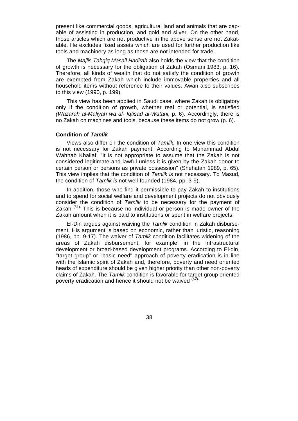present like commercial goods, agricultural land and animals that are capable of assisting in production, and gold and silver. On the other hand, those articles which are not productive in the above sense are not Zakatable. He excludes fixed assets which are used for further production like tools and machinery as long as these are not intended for trade.

The *Majlis Tahqiq Masail Hadirah* also holds the view that the condition of growth is necessary for the obligation of Zakah (Osmani 1983, p. 16). Therefore, all kinds of wealth that do not satisfy the condition of growth are exempted from Zakah which include immovable properties and all household items without reference to their values. Awan also subscribes to this view (1990, p. 199).

This view has been applied in Saudi case, where Zakah is obligatory only if the condition of growth, whether real or potential, is satisfied *(Wazarah al-Maliyah wa al- Iqtisad al-Watani,* p. 6). Accordingly, there is no Zakah on machines and tools, because these items do not grow (p. 6).

## **Condition of** *Tamlik*

Views also differ on the condition of *Tamlik.* In one view this condition is not necessary for Zakah payment. According to Muhammad Abdul Wahhab Khallaf, "It is not appropriate to assume that the Zakah is not considered legitimate and lawful unless it is given by the Zakah donor to certain person or persons as private possession" (Shehatah 1989, p. 65). This view implies that the condition of *Tamlik is* not necessary. To Masud, the condition of *Tamlik is* not well-founded (1984, pp. 3-9).

In addition, those who find it permissible to pay Zakah to institutions and to spend for social welfare and development projects do not obviously consider the condition of *Tamlik* to be necessary for the payment of Zakah  $<sup>(51)</sup>$ . This is because no individual or person is made owner of the</sup> Zakah amount when it is paid to institutions or spent in welfare projects.

El-Din argues against waiving the *Tamlik* condition in Zakah disbursement. His argument is based on economic, rather than juristic, reasoning (1986, pp. 9-17). The waiver of *Tamlik* condition facilitates widening of the areas of Zakah disbursement, for example, in the infrastructural development or broad-based development programs. According to El-din, "target group" or "basic need" approach of poverty eradication is in line with the Islamic spirit of Zakah and, therefore, poverty and need oriented heads of expenditure should be given higher priority than other non-poverty claims of Zakah. The *Tamlik* condition is favorable for target group oriented poverty eradication and hence it should not be waived **(52).**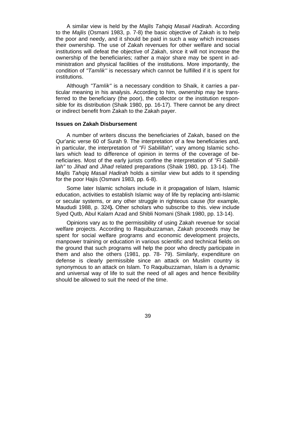A similar view is held by the *Majlis Tahqiq Masail Hadirah.* According to the *Majlis* (Osmani 1983, p. 7-8) the basic objective of Zakah is to help the poor and needy, and it should be paid in such a way which increases their ownership. The use of Zakah revenues for other welfare and social institutions will defeat the objective of Zakah, since it will not increase the ownership of the beneficiaries; rather a major share may be spent in administration and physical facilities of the institutions. More importantly, the condition of *"Tamlik''* is necessary which cannot be fulfilled if it is spent for institutions.

Although *"Tamlik"* is a necessary condition to Shaik, it carries a particular meaning in his analysis. According to him, ownership may be transferred to the beneficiary (the poor), the collector or the institution responsible for its distribution (Shaik 1980, pp. 16-17). There cannot be any direct or indirect benefit from Zakah to the Zakah payer.

## **Issues on Zakah Disbursement**

A number of writers discuss the beneficiaries of Zakah, based on the Qur'anic verse 60 of Surah 9. The interpretation of a few beneficiaries and, in particular, the interpretation of *"Fi Sabilillah",* vary among Islamic scholars which lead to difference of opinion in terms of the coverage of beneficiaries. Most of the early jurists confine the interpretation of *"Fi Sabilillah"* to *Jihad* and *Jihad* related preparations (Shaik 1980, pp. 13-14). The *Majlis Tahqiq Masail Hadirah* holds a similar view but adds to it spending for the poor Hajis (Osmani 1983, pp. 6-8).

Some later Islamic scholars include in it propagation of Islam, Islamic education, activities to establish Islamic way of life by replacing anti-Islamic or secular systems, or any other struggle in righteous cause (for example, Maududi 1988, p. 324**).** Other scholars who subscribe to this. view include Syed Qutb, Abul Kalam Azad and Shibli Nomani (Shaik 1980, pp. 13-14).

Opinions vary as to the permissibility of using Zakah revenue for social welfare projects. According to Raquibuzzaman, Zakah proceeds may be spent for social welfare programs and economic development projects, manpower training or education in various scientific and technical fields on the ground that such programs will help the poor who directly participate in them and also the others (1981, pp. 78- 79). Similarly, expenditure on defense is clearly permissible since an attack on Muslim country is synonymous to an attack on Islam. To Raquibuzzaman, Islam is a dynamic and universal way of life to suit the need of all ages and hence flexibility should be allowed to suit the need of the time.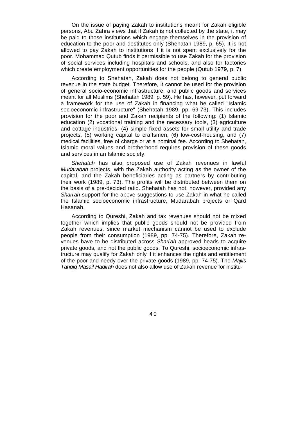On the issue of paying Zakah to institutions meant for Zakah eligible persons, Abu Zahra views that if Zakah is not collected by the state, it may be paid to those institutions which engage themselves in the provision of education to the poor and destitutes only (Shehatah 1989, p. 65). It is not allowed to pay Zakah to institutions if it is not spent exclusively for the poor. Mohammad Qutub finds it permissible to use Zakah for the provision of social services including hospitals and schools, and also for factories which create employment opportunities for the people (Qutub 1979, p. 7).

According to Shehatah, Zakah does not belong to general public revenue in the state budget. Therefore, it cannot be used for the provision of general socio-economic infrastructure, and public goods and services meant for all Muslims (Shehatah 1989, p. 59). He has, however, put forward a framework for the use of Zakah in financing what he called "Islamic socioeconomic infrastructure" (Shehatah 1989, pp. 69-73). This includes provision for the poor and Zakah recipients of the following: (1) Islamic education (2) vocational training and the necessary tools, (3) agriculture and cottage industries, (4) simple fixed assets for small utility and trade projects, (5) working capital to craftsmen, (6) low-cost-housing, and (7) medical facilities, free of charge or at a nominal fee. According to Shehatah, Islamic moral values and brotherhood requires provision of these goods and services in an Islamic society.

*Shehatah* has also proposed use of Zakah revenues in lawful *Mudarabah* projects, with the Zakah authority acting as the owner of the capital, and the Zakah beneficiaries acting as partners by contributing their work (1989, p. 73). The profits will be distributed between them on the basis of a pre-decided ratio. Shehatah has not, however, provided any *Shari'ah* support for the above suggestions to use Zakah in what he called the Islamic socioeconomic infrastructure, Mudarabah projects or Qard Hasanah.

According to Qureshi, Zakah and tax revenues should not be mixed together which implies that public goods should not be provided from Zakah revenues, since market mechanism cannot be used to exclude people from their consumption (1989, pp. 74-75). Therefore, Zakah revenues have to be distributed across *Shari'ah* approved heads to acquire private goods, and not the public goods. To Qureshi, socioeconomic infrastructure may qualify for Zakah only if it enhances the rights and entitlement of the poor and needy over the private goods (1989, pp. 74-75). The *Majlis Tahqiq Masail Hadirah* does not also allow use of Zakah revenue for institu-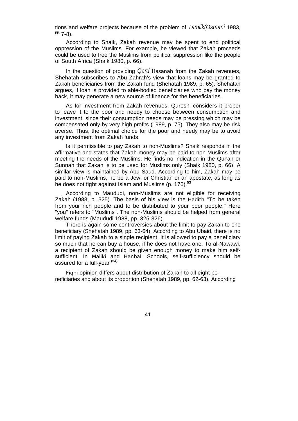tions and welfare projects because of the problem of *Tamlik(Osmani* 1983,  $pp.$  7-8).

According to Shaik, Zakah revenue may be spent to end political oppression of the Muslims. For example, he viewed that Zakah proceeds could be used to free the Muslims from political suppression like the people of South Africa (Shaik 1980, p. 66).

In the question of providing *Qard Hasanah* from the Zakah revenues, Shehatah subscribes to Abu Zahrah's view that loans may be granted to Zakah beneficiaries from the Zakah fund (Shehatah 1989, p. 65). Shehatah argues, if loan is provided to able-bodied beneficiaries who pay the money back, it may generate a new source of finance for the beneficiaries.

As for investment from Zakah revenues, Qureshi considers it proper to leave it to the poor and needy to choose between consumption and investment, since their consumption needs may be pressing which may be compensated only by very high profits (1989, p. 75). They also may be risk averse. Thus, the optimal choice for the poor and needy may be to avoid any investment from Zakah funds.

Is it permissible to pay Zakah to non-Muslims? Shaik responds in the affirmative and states that Zakah money may be paid to non-Muslims after meeting the needs of the Muslims. He finds no indication in the Qur'an or Sunnah that Zakah is to be used for Muslims only (Shaik 1980, p. 66). A similar view is maintained by Abu Saud. According to him, Zakah may be paid to non-Muslims, he be a Jew, or Christian or an apostate, as long as he does not fight against Islam and Muslims (p. 176).**<sup>53</sup>**

According to Maududi, non-Muslims are not eligible for receiving Zakah (1988, p. 325). The basis of his view is the *Hadith* "To be taken from your rich people and to be distributed to your poor people." Here "you" refers to "Muslims". The non-Muslims should be helped from general welfare funds (Maududi 1988, pp. 325-326).

There is again some controversies about the limit to pay Zakah to one beneficiary (Shehatah 1989, pp. 63-64). According to Abu Ubaid, there is no limit of paying Zakah to a single recipient. It is allowed to pay a beneficiary so much that he can buy a house, if he does not have one. To al-Nawawi, a recipient of Zakah should be given enough money to make him selfsufficient. In *Maliki* and *Hanbali* Schools, self-sufficiency should be assured for a full-year **(54).**

*Fiqhi* opinion differs about distribution of Zakah to all eight beneficiaries and about its proportion (Shehatah 1989, pp. 62-63). According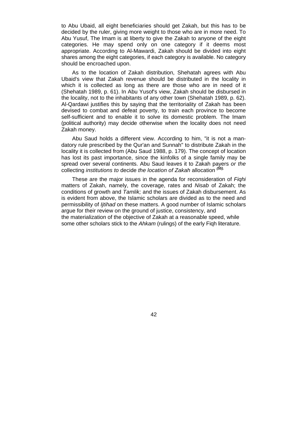to Abu Ubaid, all eight beneficiaries should get Zakah, but this has to be decided by the ruler, giving more weight to those who are in more need. To Abu Yusuf, The Imam is at liberty to give the Zakah to anyone of the eight categories. He may spend only on one category if it deems most appropriate. According to Al-Mawardi, Zakah should be divided into eight shares among the eight categories, if each category is available. No category should be encroached upon.

As to the location of Zakah distribution, Shehatah agrees with Abu Ubaid's view that Zakah revenue should be distributed in the locality in which it is collected as long as there are those who are in need of it (Shehatah 1989, p. 61). In Abu Yusof's view, Zakah should be disbursed in the locality, not to the inhabitants of any other town (Shehatah 1989, p. 62). Al-Qardawi justifies this by saying that the territoriality of Zakah has been devised to combat and defeat poverty, to train each province to become self-sufficient and to enable it to solve its domestic problem. The Imam (political authority) may decide otherwise when the locality does not need Zakah money.

Abu Saud holds a different view. According to him, "it is not a mandatory rule prescribed by the Qur'an and Sunnah" to distribute Zakah in the locality it is collected from (Abu Saud 1988, p. 179). The concept of location has lost its past importance, since the kinfolks of a single family may be spread over several continents. Abu Saud leaves it to Zakah payers *or the*  collecting *institutions to* decide *the location of Zakah* allocation *(55).*

These are the major issues in the agenda for reconsideration of *Fiqhi*  matters of Zakah, namely, the coverage, rates and *Nisab* of Zakah; the conditions of growth and *Tamlik;* and the issues of Zakah disbursement. As is evident from above, the Islamic scholars are divided as to the need and permissibility of *Ijtihad* on these matters. A good number of Islamic scholars argue for their review on the ground of justice, consistency, and the materialization of the objective of Zakah at a reasonable speed, while some other scholars stick to the *Ahkam* (rulings) of the early Fiqh literature.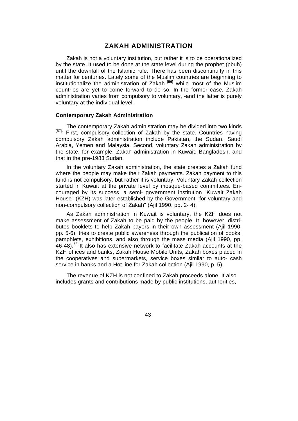## **ZAKAH ADMINISTRATION**

Zakah is not a voluntary institution, but rather it is to be operationalized by the state. It used to be done at the state level during the prophet (pbuh) until the downfall of the Islamic rule. There has been discontinuity in this matter for centuries. Lately some of the Muslim countries are beginning to institutionalize the administration of Zakah **(56)** while most of the Muslim countries are yet to come forward to do so. In the former case, Zakah administration varies from compulsory to voluntary, -and the latter is purely voluntary at the individual level.

#### **Contemporary Zakah Administration**

The contemporary Zakah administration may be divided into two kinds (57). First, compulsory collection of Zakah by the state. Countries having compulsory Zakah administration include Pakistan, the Sudan, Saudi Arabia, Yemen and Malaysia. Second, voluntary Zakah administration by the state, for example, Zakah administration in Kuwait, Bangladesh, and that in the pre-1983 Sudan.

In the voluntary Zakah administration, the state creates a Zakah fund where the people may make their Zakah payments. Zakah payment to this fund is not compulsory, but rather it is voluntary. Voluntary Zakah collection started in Kuwait at the private level by mosque-based committees. Encouraged by its success, a semi- government institution "Kuwait Zakah House" (KZH) was later established by the Government "for voluntary and non-compulsory collection of Zakah" (Ajil 1990, pp. 2- 4).

As Zakah administration in Kuwait is voluntary, the KZH does not make assessment of Zakah to be paid by the people. It, however, distributes booklets to help Zakah payers in their own assessment (Ajil 1990, pp. 5-6), tries to create public awareness through the publication of books, pamphlets, exhibitions, and also through the mass media (Ajil 1990, pp. 46-48).**<sup>58</sup>** It also has extensive network to facilitate Zakah accounts at the KZH offices and banks, Zakah House Mobile Units, Zakah boxes placed in the cooperatives and supermarkets, service boxes similar to auto- cash service in banks and a Hot line for Zakah collection (Ajil 1990, p. 5).

The revenue of KZH is not confined to Zakah proceeds alone. It also includes grants and contributions made by public institutions, authorities,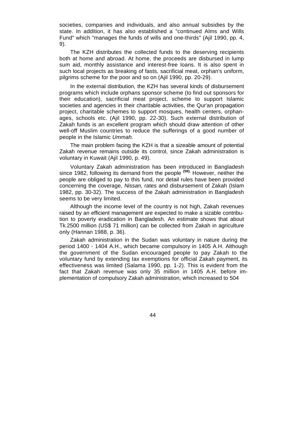societies, companies and individuals, and also annual subsidies by the state. In addition, it has also established a "continued Alms and Wills Fund" which "manages the funds of wills and one-thirds" (Ajil 1990, pp. 4, 9).

The KZH distributes the collected funds to the deserving recipients both at home and abroad. At home, the proceeds are disbursed in lump sum aid, monthly assistance and interest-free loans. It is also spent in such local projects as breaking of fasts, sacrificial meat, orphan's uniform, pilgrims scheme for the poor and so on (Ajil 1990, pp. 20-29).

In the external distribution, the KZH has several kinds of disbursement programs which include orphans sponsor scheme (to find out sponsors for their education), sacrificial meat project, scheme to support Islamic societies and agencies in their charitable activities, the Qur'an propagation project, charitable schemes to support mosques, health centers, orphanages, schools etc. (Ajil 1990, pp. 22-30). Such external distribution of Zakah funds is an excellent program which should draw attention of other well-off Muslim countries to reduce the sufferings of a good number of people in the Islamic *Ummah.*

The main problem facing the KZH is that a sizeable amount of potential Zakah revenue remains outside its control, since Zakah administration is voluntary in Kuwait (Ajil 1990, p. 49).

Voluntary Zakah administration has been introduced in Bangladesh since 1982, following its demand from the people **(59).** However, neither the people are obliged to pay to this fund, nor detail rules have been provided concerning the coverage, *Nissan,* rates and disbursement of Zakah (Islam 1982, pp. 30-32). The success of the Zakah administration in Bangladesh seems to be very limited.

Although the income level of the country is not high, Zakah revenues raised by an efficient management are expected to make a sizable contribution to poverty eradication in Bangladesh. An estimate shows that about Tk.2500 million (US\$ 71 million) can be collected from Zakah in agriculture only (Hannan 1988, p. 36).

Zakah administration in the Sudan was voluntary in nature during the period 1400 - 1404 A.H., which became compulsory in 1405 A.H. Although the government of the Sudan encouraged people to pay Zakah to the voluntary fund by extending tax exemptions for official Zakah payment, its effectiveness was limited (Salama 1990, pp. 1-2). This is evident from the fact that Zakah revenue was only 35 million in 1405 A.H. before implementation of compulsory Zakah administration, which increased to 504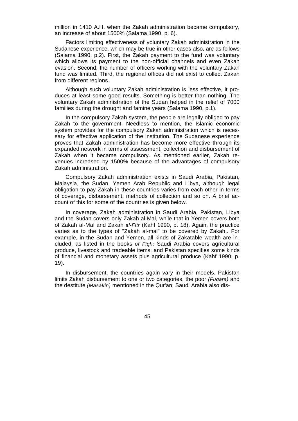million in 1410 A.H. when the Zakah administration became compulsory, an increase of about 1500% (Salama 1990, p. 6).

Factors limiting effectiveness of voluntary Zakah administration in the Sudanese experience, which may be true in other cases also, are as follows (Salama 1990, p.2). First, the Zakah payment to the fund was voluntary which allows its payment to the non-official channels and even Zakah evasion. Second, the number of officers working with the voluntary Zakah fund was limited. Third, the regional offices did not exist to collect Zakah from different regions.

Although such voluntary Zakah administration is less effective, it produces at least some good results. Something is better than nothing. The voluntary Zakah administration of the Sudan helped in the relief of 7000 families during the drought and famine years (Salama 1990, p.1).

In the compulsory Zakah system, the people are legally obliged to pay Zakah to the government. Needless to mention, the Islamic economic system provides for the compulsory Zakah administration which is necessary for effective application of the institution. The Sudanese experience proves that Zakah administration has become more effective through its expanded network in terms of assessment, collection and disbursement of Zakah when it became compulsory. As mentioned earlier, Zakah revenues increased by 1500% because of the advantages of compulsory Zakah administration.

Compulsory Zakah administration exists in Saudi Arabia, Pakistan, Malaysia, the Sudan, Yemen Arab Republic and Libya, although legal obligation to pay Zakah in these countries varies from each other in terms of coverage, disbursement, methods of collection and so on. A brief account of this for some of the countries is given below.

In coverage, Zakah administration in Saudi Arabia, Pakistan, Libya and the Sudan covers only Zakah al-Mal, while that in Yemen covers both of Zakah al-Mal and Zakah *al-Fitr* (Kahf 1990, p. 18). Again, the practice varies as to the types of "Zakah al-mal" to be covered by Zakah.. For example, in the Sudan and Yemen, all kinds of Zakatable wealth are included, as listed in the books *of Fiqh;* Saudi Arabia covers agricultural produce, livestock and tradeable items; and Pakistan specifies some kinds of financial and monetary assets plus agricultural produce (Kahf 1990, p. 19).

In disbursement, the countries again vary in their models. Pakistan limits Zakah disbursement to one or two categories, the poor *(Fuqara)* and the destitute *(Masakin)* mentioned in the Qur'an; Saudi Arabia also dis-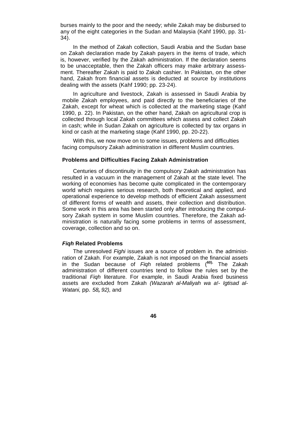burses mainly to the poor and the needy; while Zakah may be disbursed to any of the eight categories in the Sudan and Malaysia (Kahf 1990, pp. 31- 34).

In the method of Zakah collection, Saudi Arabia and the Sudan base on Zakah declaration made by Zakah payers in the items of trade, which is, however, verified by the Zakah administration. If the declaration seems to be unacceptable, then the Zakah officers may make arbitrary assessment. Thereafter Zakah is paid to Zakah cashier. In Pakistan, on the other hand, Zakah from financial assets is deducted at source by institutions dealing with the assets (Kahf 1990; pp. 23-24).

In agriculture and livestock, Zakah is assessed in Saudi Arabia by mobile Zakah employees, and paid directly to the beneficiaries of the Zakah, except for wheat which is collected at the marketing stage (Kahf 1990, p. 22). In Pakistan, on the other hand, Zakah on agricultural crop is collected through local Zakah committees which assess and collect Zakah in cash; while in Sudan Zakah on agriculture is collected by tax organs in kind or cash at the marketing stage (Kahf 1990, pp. 20-22).

With this, we now move on to some issues, problems and difficulties facing compulsory Zakah administration in different Muslim countries.

#### **Problems and Difficulties Facing Zakah Administration**

Centuries of discontinuity in the compulsory Zakah administration has resulted in a vacuum in the management of Zakah at the state level. The working of economies has become quite complicated in the contemporary world which requires serious research, both theoretical and applied, and operational experience to develop methods of efficient Zakah assessment of different forms of wealth and assets, their collection and distribution. Some work in this area has been started only after introducing the compulsory Zakah system in some Muslim countries. Therefore, the Zakah administration is naturally facing some problems in terms of assessment, coverage, collection and so on.

#### *Fiqh* **Related Problems**

The unresolved *Fighi* issues are a source of problem in. the administration of Zakah. For example, Zakah is not imposed on the financial assets in the Sudan because of *Fiqh* related problems (**60).** The Zakah administration of different countries tend to follow the rules set by the traditional *Fiqh* literature. For example, in Saudi Arabia fixed business assets are excluded from Zakah *(Wazarah al-Maliyah wa a!- Igtisad al-Watani,* pp. *58, 92),* and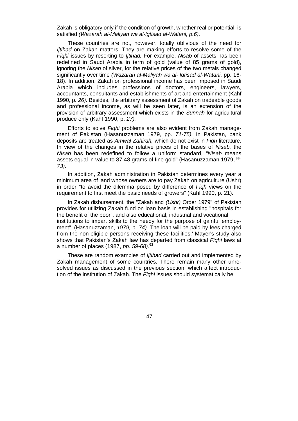Zakah is obligatory only if the condition of growth, whether real or potential, is satisfied *(Wazarah al-Maliyah wa al-lgtisad al-Watani, p.6).*

These countries are not, however, totally oblivious of the need for *Ijtihad* on Zakah matters. They are making efforts to resolve some of the *Fiqhi* issues by resorting to *Ijtihad.* For example, *Nisab* of assets has been redefined in Saudi Arabia in term of gold (value of 85 grams of gold), ignoring the *Nisab* of silver, for the relative prices of the two metals changed significantly over time *(Wazarah al-Maliyah wa al- lqtisad al-Watani,* pp. 16- 18). In addition, Zakah on professional income has been imposed in Saudi Arabia which includes professions of doctors, engineers, lawyers, accountants, consultants and establishments of art and entertainment (Kahf 1990, p. *26).* Besides, the arbitrary assessment of Zakah on tradeable goods and professional income, as will be seen later, is an extension of the provision of arbitrary assessment which exists in the *Sunnah* for agricultural produce only (Kahf 1990, p. *27).*

Efforts to solve *Fiqhi* problems are also evident from Zakah management of Pakistan (Hasanuzzaman 1979, pp. *71-75).* In Pakistan, bank deposits are treated as *Amwal Zahirah,* which do not exist in *Fiqh* literature. In view of the changes in the relative prices of the bases of *Nisab,* the *Nisab* has been redefined to follow a uniform standard, *"Nisab* means assets equal in value to 87.48 grams of fine gold" (Hasanuzzaman 1979, <sup>pp.</sup> *73).*

In addition, Zakah administration in Pakistan determines every year a minimum area of land whose owners are to pay Zakah on agriculture (Ushr) in order "to avoid the dilemma posed by difference of *Fiqh* views on the requirement to first meet the basic needs of growers" (Kahf 1990, p. 21).

In Zakah disbursement, the "Zakah and *(Ushr)* Order 1979" of Pakistan provides for utilizing Zakah fund on loan basis in establishing "hospitals for the benefit of the poor", and also educational, industrial and vocational institutions to impart skills to the needy for the purpose of gainful employment". (Hasanuzzaman, *1979,* p. *74).* The loan will be paid by fees charged from the non-eligible persons receiving these facilities.' Mayer's study also shows that Pakistan's Zakah law has departed from classical *Fiqhi* laws at a number of places (1987, *pp. 59-68).***<sup>62</sup>**

These are random examples of *Ijtihad* carried out and implemented by Zakah management of some countries. There remain many other unresolved issues as discussed in the previous section, which affect introduction of the institution of Zakah. The *Fiqhi* issues should systematically be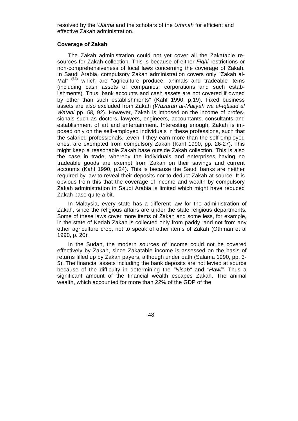resolved by the *'Ulama* and the scholars of the *Ummah* for efficient and effective Zakah administration.

#### **Coverage of Zakah**

The Zakah administration could not yet cover all the Zakatable resources for Zakah collection. This is because of either *Fiqhi* restrictions or non-comprehensiveness of local laws concerning the coverage of Zakah. In Saudi Arabia, compulsory Zakah administration covers only "Zakah al-Mal" **(63)** which are "agriculture produce, animals and tradeable items (including cash assets of companies, corporations and such establishments). Thus, bank accounts and cash assets are not covered if owned by other than such establishments" (Kahf 1990, p.19). Fixed business assets are also excluded from Zakah *(Wazarah al-Maliyah wa al-Iqtisad al Watani pp. 58, 92). However, Zakah is imposed on the income of profes*sionals such as doctors, lawyers, engineers, accountants, consultants and establishment of art and entertainment. Interesting enough, Zakah is imposed only on the self-employed individuals in these professions, such that the salaried professionals, ,even if they earn more than the self-employed ones, are exempted from compulsory Zakah (Kahf 1990, pp. 26-27). This might keep a reasonable Zakah base outside Zakah collection. This is also the case in trade, whereby the individuals and enterprises having no tradeable goods are exempt from Zakah on their savings and current accounts (Kahf 1990, p.24). This is because the Saudi banks are neither required by law to reveal their deposits nor to deduct Zakah at source. It is obvious from this that the coverage of income and wealth by compulsory Zakah administration in Saudi Arabia is limited which might have reduced Zakah base quite a bit.

In Malaysia, every state has a different law for the administration of Zakah, since the religious affairs are under the state religious departments. Some of these laws cover more items of Zakah and some less, for example, in the state of Kedah Zakah is collected only from paddy, and not from any other agriculture crop, not to speak of other items of Zakah (Othman et al 1990, p. 20).

In the Sudan, the modern sources of income could not be covered effectively by Zakah, since Zakatable income is assessed on the basis of returns filled up by Zakah payers, although under oath (Salama 1990, pp. 3- 5). The financial assets including the bank deposits are not levied at source because of the difficulty in determining the *"Nisab"* and *"Hawl".* Thus a significant amount of the financial wealth escapes Zakah. The animal wealth, which accounted for more than 22% of the GDP of the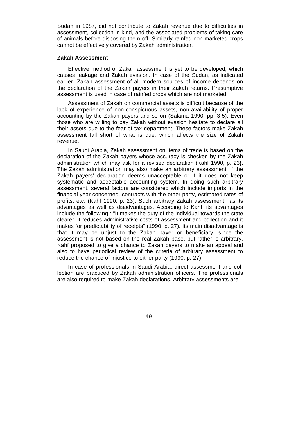Sudan in 1987, did not contribute to Zakah revenue due to difficulties in assessment, collection in kind, and the associated problems of taking care of animals before disposing them off. Similarly rainfed non-marketed crops cannot be effectively covered by Zakah administration.

## **Zakah Assessment**

Effective method of Zakah assessment is yet to be developed, which causes leakage and Zakah evasion. In case of the Sudan, as indicated earlier, Zakah assessment of all modern sources of income depends on the declaration of the Zakah payers in their Zakah returns. Presumptive assessment is used in case of rainfed crops which are not marketed.

Assessment of Zakah on commercial assets is difficult because of the lack of experience of non-conspicuous assets, non-availability of proper accounting by the Zakah payers and so on (Salama 1990, pp. 3-5). Even those who are willing to pay Zakah without evasion hesitate to declare all their assets due to the fear of tax department. These factors make Zakah assessment fall short of what is due, which affects the size of Zakah revenue.

In Saudi Arabia, Zakah assessment on items of trade is based on the declaration of the Zakah payers whose accuracy is checked by the Zakah administration which may ask for a revised declaration (Kahf 1990, p. 23**).**  The Zakah administration may also make an arbitrary assessment, if the Zakah payers' declaration deems unacceptable or if it does not keep systematic and acceptable accounting system. In doing such arbitrary assessment, several factors are considered which include imports in the financial year concerned, contracts with the other party, estimated rates of profits, etc. (Kahf 1990, p. 23). Such arbitrary Zakah assessment has its advantages as well as disadvantages. According to Kahf, its advantages include the following : "It makes the duty of the individual towards the state clearer, it reduces administrative costs of assessment and collection and it makes for predictability of receipts" (1990, p. 27). Its main disadvantage is that it may be unjust to the Zakah payer or beneficiary, since the assessment is not based on the real Zakah base, but rather is arbitrary. Kahf proposed to give a chance to Zakah payers to make an appeal and also to have periodical review of the criteria of arbitrary assessment to reduce the chance of injustice to either party (1990, p. 27).

In case of professionals in Saudi Arabia, direct assessment and collection are practiced by Zakah administration officers. The professionals are also required to make Zakah declarations. Arbitrary assessments are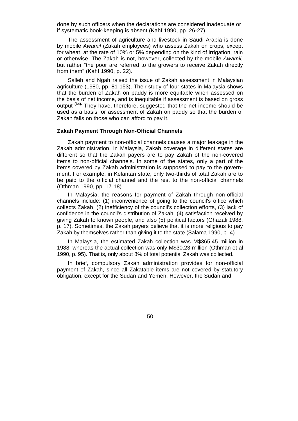done by such officers when the declarations are considered inadequate or if systematic book-keeping is absent (Kahf 1990, pp. 26-27).

The assessment of agriculture and livestock in Saudi Arabia is done by mobile *Awamil* (Zakah employees) who assess Zakah on crops, except for wheat, at the rate of 10% or 5% depending on the kind of irrigation, rain or otherwise. The Zakah is not, however, collected by the mobile *Awamil,*  but rather "the poor are referred to the growers to receive Zakah directly from them" (Kahf 1990, p. 22).

Salleh and Ngah raised the issue of Zakah assessment in Malaysian agriculture (1980, pp. 81-153). Their study of four states in Malaysia shows that the burden of Zakah on paddy is more equitable when assessed on the basis of net income, and is inequitable if assessment is based on gross output **(64).** They have, therefore, suggested that the net income should be used as a basis for assessment of Zakah on paddy so that the burden of Zakah falls on those who can afford to pay it.

## **Zakah Payment Through Non-Official Channels**

Zakah payment to non-official channels causes a major leakage in the Zakah administration. In Malaysia, Zakah coverage in different states are different so that the Zakah payers are to pay Zakah of the non-covered items to non-official channels. In some of the states, only a part of the items covered by Zakah administration is supposed to pay to the government. For example, in Kelantan state, only two-thirds of total Zakah are to be paid to the official channel and the rest to the non-official channels (Othman 1990, pp. 17-18).

In Malaysia, the reasons for payment of Zakah through non-official channels include: (1) inconvenience of going to the council's office which collects Zakah, (2) inefficiency of the council's collection efforts, (3) lack of confidence in the council's distribution of Zakah, (4) satisfaction received by giving Zakah to known people, and also (5) political factors (Ghazali 1988, p. 17). Sometimes, the Zakah payers believe that it is more religious to pay Zakah by themselves rather than giving it to the state (Salama 1990, p. 4).

In Malaysia, the estimated Zakah collection was M\$365.45 million in 1988, whereas the actual collection was only M\$30.23 million (Othman et al 1990, p. 95). That is, only about 8% of total potential Zakah was collected.

In brief, compulsory Zakah administration provides for non-official payment of Zakah, since all Zakatable items are not covered by statutory obligation, except for the Sudan and Yemen. However, the Sudan and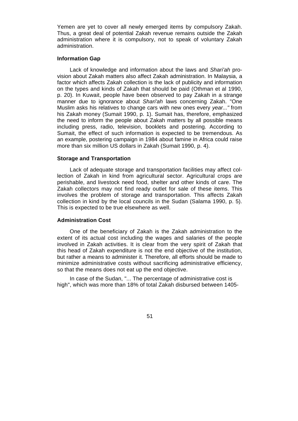Yemen are yet to cover all newly emerged items by compulsory Zakah. Thus, a great deal of potential Zakah revenue remains outside the Zakah administration where it is compulsory, not to speak of voluntary Zakah administration.

#### **Information Gap**

Lack of knowledge and information about the laws and *Shari'ah* provision about Zakah matters also affect Zakah administration. In Malaysia, a factor which affects Zakah collection is the lack of publicity and information on the types and kinds of Zakah that should be paid (Othman et al 1990, p. 20). In Kuwait, people have been observed to pay Zakah in a strange manner due to ignorance about *Shari'ah* laws concerning Zakah. "One Muslim asks his relatives to change cars with new ones every *year..."* from his Zakah money (Sumait 1990, p. 1). Sumait has, therefore, emphasized the need to inform the people about Zakah matters by all possible means including press, radio, television, booklets and postering. According to Sumait, the effect of such information is expected to be tremendous. As an example, postering campaign in 1984 about famine in Africa could raise more than six million US dollars in Zakah (Sumait 1990, p. 4).

### **Storage and Transportation**

Lack of adequate storage and transportation facilities may affect collection of Zakah in kind from agricultural sector. Agricultural crops are perishable, and livestock need food, shelter and other kinds of care. The Zakah collectors may not find ready outlet for sale of these items. This involves the problem of storage and transportation. This affects Zakah collection in kind by the local councils in the Sudan (Salama 1990, p. 5). This is expected to be true elsewhere as well.

## **Administration Cost**

One of the beneficiary of Zakah is the Zakah administration to the extent of its actual cost including the wages and salaries of the people involved in Zakah activities. It is clear from the very spirit of Zakah that this head of Zakah expenditure is not the end objective of the institution, but rather a means to administer it. Therefore, all efforts should be made to minimize administrative costs without sacrificing administrative efficiency, so that the means does not eat up the end objective.

In case of the Sudan, "... The percentage of administrative cost is high", which was more than 18% of total Zakah disbursed between 1405-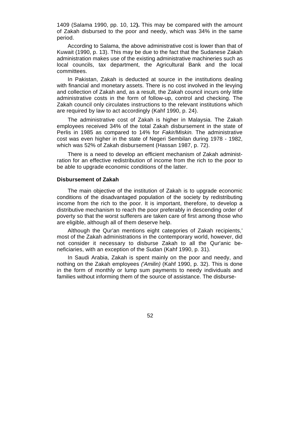1409 (Salama 1990, pp. 10, 12**).** This may be compared with the amount of Zakah disbursed to the poor and needy, which was 34% in the same period.

According to Salama, the above administrative cost is lower than that of Kuwait (1990, p. 13). This may be due to the fact that the Sudanese Zakah administration makes use of the existing administrative machineries such as local councils, tax department, the Agricultural Bank and the local committees.

In Pakistan, Zakah is deducted at source in the institutions dealing with financial and monetary assets. There is no cost involved in the levying and collection of Zakah and, as a result, the Zakah council incurs only little administrative costs in the form of follow-up, control and checking. The Zakah council only circulates instructions to the relevant institutions which are required by law to act accordingly (Kahf 1990, p. 24).

The administrative cost of Zakah is higher in Malaysia. The Zakah employees received 34% of the total Zakah disbursement in the state of Perlis in 1985 as compared to 14% for *Fakir/Miskin.* The administrative cost was even higher in the state of Negeri Sembilan during 1978 - 1982, which was 52% of Zakah disbursement (Hassan 1987, p. 72).

There is a need to develop an efficient mechanism of Zakah administration for an effective redistribution of income from the rich to the poor to be able to upgrade economic conditions of the latter.

#### **Disbursement of Zakah**

The main objective of the institution of Zakah is to upgrade economic conditions of the disadvantaged population of the society by redistributing income from the rich to the poor. It is important, therefore, to develop a distributive mechanism to reach the poor preferably in descending order of poverty so that the worst sufferers are taken care of first among those who are eligible, although all of them deserve help.

Although the Qur'an mentions eight categories of Zakah recipients,' most of the Zakah administrations in the contemporary world, however, did not consider it necessary to disburse Zakah to all the Qur'anic beneficiaries, with an exception of the Sudan (Kahf 1990, p. 31).

In Saudi Arabia, Zakah is spent mainly on the poor and needy, and nothing on the Zakah employees *('Amilin)* (Kahf 1990, p. 32). This is done in the form of monthly or lump sum payments to needy individuals and families without informing them of the source of assistance. The disburse-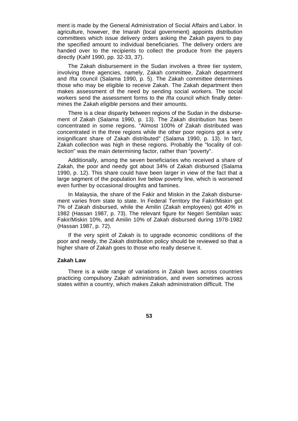ment is made by the General Administration of Social Affairs and Labor. In agriculture, however, the Imarah (local government) appoints distribution committees which issue delivery orders asking the Zakah payers to pay the specified amount to individual beneficiaries. The delivery orders are handed over to the recipients to collect the produce from the payers directly (Kahf 1990, pp. 32-33, 37).

The Zakah disbursement in the Sudan involves a three tier system, involving three agencies, namely, Zakah committee, Zakah department and *Ifta* council (Salama 1990, p. 5). The Zakah committee determines those who may be eligible to receive Zakah. The Zakah department then makes assessment of the need by sending social workers. The social workers send the assessment forms to the *Ifta* council which finally determines the Zakah eligible persons and their amounts.

There is a clear disparity between regions of the Sudan in the disbursement of Zakah (Salama 1990, p. 13). The Zakah distribution has been concentrated in some regions. "Almost 100% of Zakah distributed was concentrated in the three regions while the other poor regions got a very insignificant share of Zakah distributed" (Salama 1990, p. 13). In fact, Zakah collection was high in these regions. Probably the "locality of collection" was the main determining factor, rather than "poverty".

Additionally, among the seven beneficiaries who received a share of Zakah, the poor and needy got about 34% of Zakah disbursed (Salama 1990, p. 12). This share could have been larger in view of the fact that a large segment of the population live below poverty line, which is worsened even further by occasional droughts and famines.

In Malaysia, the share of the Fakir and Miskin in the Zakah disbursement varies from state to state. In Federal Territory the Fakir/Miskin got 7% of Zakah disbursed, while the Amilin (Zakah employees) got *40%* in 1982 (Hassan 1987, p. 73). The relevant figure for Negeri Sembilan was: Fakir/Miskin 10%, and Amilin 10% of Zakah disbursed during 1978-1982 (Hassan 1987, p. 72).

If the very spirit of Zakah is to upgrade economic conditions of the poor and needy, the Zakah distribution policy should be reviewed so that a higher share of Zakah goes to those who really deserve it.

#### **Zakah Law**

There is a wide range of variations in Zakah laws across countries practicing compulsory Zakah administration, and even sometimes across states within a country, which makes Zakah administration difficult. The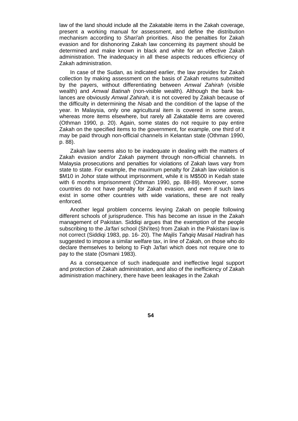law of the land should include all the Zakatable items in the Zakah coverage, present a working manual for assessment, and define the distribution mechanism according to *Shari'ah* priorities. Also the penalties for Zakah evasion and for dishonoring Zakah law concerning its payment should be determined and make known in black and white for an effective Zakah administration. The inadequacy in all these aspects reduces efficiency of Zakah administration.

In case of the Sudan, as indicated earlier, the law provides for Zakah collection by making assessment on the basis of Zakah returns submitted by the payers, without differentiating between *Amwal Zahirah* (visible wealth) and *Amwal Batinah* (non-visible wealth). Although the bank balances are obviously *Amwal Zahirah,* it is not covered by Zakah because of the difficulty in determining the *Nisab* and the condition of the lapse of the year. In Malaysia, only one agricultural item is covered in some areas, whereas more items elsewhere, but rarely all Zakatable items are covered (Othman 1990, p. 20). Again, some states do not require to pay entire Zakah on the specified items to the government, for example, one third of it may be paid through non-official channels in Kelantan state (Othman 1990, p. 88).

Zakah law seems also to be inadequate in dealing with the matters of Zakah evasion and/or Zakah payment through non-official channels. In Malaysia prosecutions and penalties for violations of Zakah laws vary from state to state. For example, the maximum penalty for Zakah law violation is \$M10 in Johor state without imprisonment, while it is M\$500 in Kedah state with 6 months imprisonment (Othman 1990, pp. 88-89). Moreover, some countries do not have penalty for Zakah evasion, and even if such laws exist in some other countries with wide variations, these are not really enforced.

Another legal problem concerns levying Zakah on people following different schools of jurisprudence. This has become an issue in the Zakah management of Pakistan. Siddiqi argues that the exemption of the people subscribing to the *Ja'fari* school (Shi'ites) from Zakah in the Pakistani law is not correct (Siddiqi 1983, pp. 16- 20). The *Majlis Tahqiq Masail Hadirah* has suggested to impose a similar welfare tax, in line of Zakah, on those who do declare themselves to belong to Fiqh Ja'fari which does not require one to pay to the state (Osmani 1983).

As a consequence of such inadequate and ineffective legal support and protection of Zakah administration, and also of the inefficiency of Zakah administration machinery, there have been leakages in the Zakah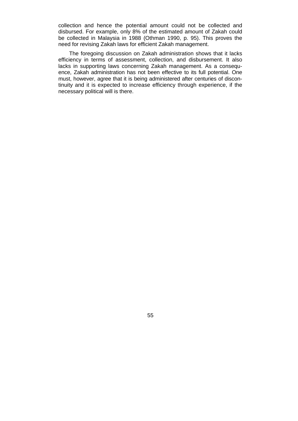collection and hence the potential amount could not be collected and disbursed. For example, only 8% of the estimated amount of Zakah could be collected in Malaysia in 1988 (Othman 1990, p. 95). This proves the need for revising Zakah laws for efficient Zakah management.

The foregoing discussion on Zakah administration shows that it lacks efficiency in terms of assessment, collection, and disbursement. It also lacks in supporting laws concerning Zakah management. As a consequence, Zakah administration has not been effective to its full potential. One must, however, agree that it is being administered after centuries of discontinuity and it is expected to increase efficiency through experience, if the necessary political will is there.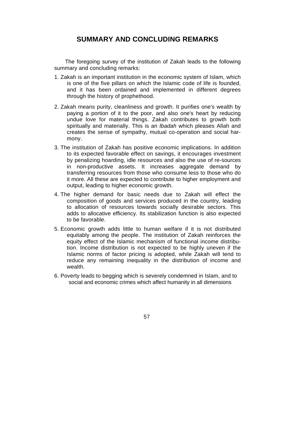# **SUMMARY AND CONCLUDING REMARKS**

The foregoing survey of the institution of Zakah leads to the following summary and concluding remarks:

- 1. Zakah is an important institution in the economic system of Islam, which is one of the five pillars on which the Islamic code of life is founded, and it has been ordained and implemented in different degrees through the history of prophethood.
- 2. Zakah means purity, cleanliness and growth. It purifies one's wealth by paying a portion of it to the poor, and also one's heart by reducing undue love for material things. Zakah contributes to growth both spiritually and materially. This is an *lbadah* which pleases Allah and creates the sense of sympathy, mutual co-operation and social harmony.
- 3. The institution of Zakah has positive economic implications. In addition to its expected favorable effect on savings, it encourages investment by penalizing hoarding, idle resources and also the use of re-sources in non-productive assets. It increases aggregate demand by transferring resources from those who consume less to those who do it more. All these are expected to contribute to higher employment and output, leading to higher economic growth.
- 4. The higher demand for basic needs due to Zakah will effect the composition of goods and services produced in the country, leading to allocation of resources towards socially desirable sectors. This adds to allocative efficiency. Its stabilization function is also expected to be favorable.
- 5. Economic growth adds little to human welfare if it is not distributed equitably among the people. The institution of Zakah reinforces the equity effect of the Islamic mechanism of functional income distribution. Income distribution is not expected to be highly uneven if the Islamic norms of factor pricing is adopted, while Zakah will tend to reduce any remaining inequality in the distribution of income and wealth.
- 6. Poverty leads to begging which is severely condemned in Islam, and to social and economic crimes which affect humanity in all dimensions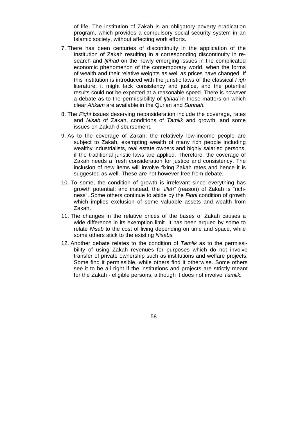of life. The institution of Zakah is an obligatory poverty eradication program, which provides a compulsory social security system in an Islamic society, without affecting work efforts.

- 7. There has been centuries of discontinuity in the application of the institution of Zakah resulting in a corresponding discontinuity in research and *Ijtihad* on the newly emerging issues in the complicated economic phenomenon of the contemporary world, when the forms of wealth and their relative weights as well as prices have changed. If this institution is introduced with the juristic laws of the classical *Fiqh*  literature, it might lack consistency and justice, and the potential results could not be expected at a reasonable speed. There is however a debate as to the permissibility of *Ijtihad* in those matters on which clear *Ahkam* are available in the Qur'an and *Sunnah.*
- 8. The *Fiqhi* issues deserving reconsideration include the coverage, rates and *Nisab* of Zakah, conditions of *Tamlik* and growth, and some issues on Zakah disbursement.
- 9. As to the coverage of Zakah, the relatively low-income people are subject to Zakah, exempting wealth of many rich people including wealthy industrialists, real estate owners and highly salaried persons, if the traditional juristic laws are applied. Therefore, the coverage of Zakah needs a fresh consideration for justice and consistency. The inclusion of new items will involve fixing Zakah rates and hence it is suggested as well. These are not however free from debate.
- 10. To some, the condition of growth is irrelevant since everything has growth potential; and instead, the *"illah"* (reason) of Zakah is "richness". Some others continue to abide by the *Fiqhi* condition of growth which implies exclusion of some valuable assets and wealth from Zakah.
- 11. The changes in the relative prices of the bases of Zakah causes a wide difference in its exemption limit. It has been argued by some to relate *Nisab* to the cost of living depending on time and space, while some others stick to the existing *Nisabs.*
- 12. Another debate relates to the condition of *Tamlik* as to the permissibility of using Zakah revenues for purposes which do not involve transfer of private ownership such as institutions and welfare projects. Some find it permissible, while others find it otherwise. Some others see it to be all right if the institutions and projects are strictly meant for the Zakah - eligible persons, although it does not involve *Tamlik.*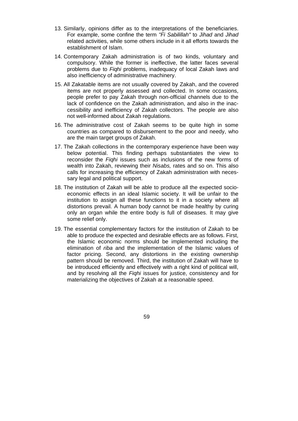- 13. Similarly, opinions differ as to the interpretations of the beneficiaries. For example, some confine the term *"Fi Sabilillah"* to *Jihad* and *Jihad*  related activities, while some others include in it all efforts towards the establishment of Islam.
- 14. Contemporary Zakah administration is of two kinds, voluntary and compulsory. While the former is ineffective, the latter faces several problems due to *Fiqhi* problems, inadequacy of local Zakah laws and also inefficiency of administrative machinery.
- 15. All Zakatable items are not usually covered by Zakah, and the covered items are not properly assessed and collected. In some occasions, people prefer to pay Zakah through non-official channels due to the lack of confidence on the Zakah administration, and also in the inaccessibility and inefficiency of Zakah collectors. The people are also not well-informed about Zakah regulations.
- 16. The administrative cost of Zakah seems to be quite high in some countries as compared to disbursement to the poor and needy, who are the main target groups of Zakah.
- 17. The Zakah collections in the contemporary experience have been way below potential. This finding perhaps substantiates the view to reconsider the *Fiqhi* issues such as inclusions of the new forms of wealth into Zakah, reviewing their *Nisabs,* rates and so on. This also calls for increasing the efficiency of Zakah administration with necessary legal and political support.
- 18. The institution of Zakah will be able to produce all the expected socioeconomic effects in an ideal Islamic society. It will be unfair to the institution to assign all these functions to it in a society where all distortions prevail. A human body cannot be made healthy by curing only an organ while the entire body is full of diseases. It may give some relief only.
- 19. The essential complementary factors for the institution of Zakah to be able to produce the expected and desirable effects are as follows. First, the Islamic economic norms should be implemented including the elimination of *riba* and the implementation of the Islamic values of factor pricing. Second, any distortions in the existing ownership pattern should be removed. Third, the institution of Zakah will have to be introduced efficiently and effectively with a right kind of political will, and by resolving all the *Fiqhi* issues for justice, consistency and for materializing the objectives of Zakah at a reasonable speed.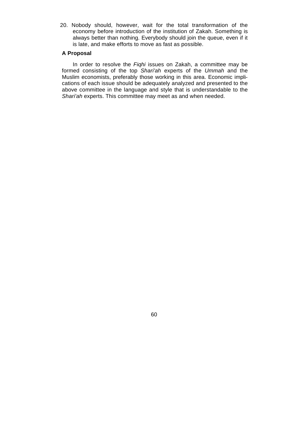20. Nobody should, however, wait for the total transformation of the economy before introduction of the institution of Zakah. Something is always better than nothing. Everybody should join the queue, even if it is late, and make efforts to move as fast as possible.

## **A Proposal**

In order to resolve the *Fiqhi* issues on Zakah, a committee may be formed consisting of the top *Shari'ah* experts of the *Ummah* and the Muslim economists, preferably those working in this area. Economic implications of each issue should be adequately analyzed and presented to the above committee in the language and style that is understandable to the *Shari'ah* experts. This committee may meet as and when needed.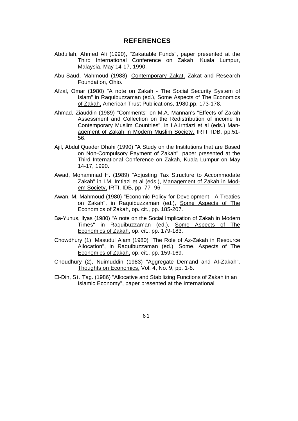## **REFERENCES**

- Abdullah, Ahmed Ali (1990), "Zakatable Funds", paper presented at the Third International Conference on Zakah, Kuala Lumpur, Malaysia, May 14-17, 1990.
- Abu-Saud, Mahmoud (1988), Contemporary Zakat, Zakat and Research Foundation, Ohio.
- Afzal, Omar (1980) "A note on Zakah The Social Security System of Islam" in Raquibuzzaman (ed.), Some Aspects of The Economics of Zakah, American Trust Publications, 1980,pp. 173-178.
- Ahmad, Ziauddin (1989) "Comments" on M.A. Mannan's "Effects of Zakah Assessment and Collection on the Redistribution of income In Contemporary Muslim Countries", in I.A.Irntiazi et al (eds.) Management of Zakah in Modern Muslim Society, IRTI, IDB, pp.51- 56.
- Ajil, Abdul Quader Dhahi (1990) "A Study on the Institutions that are Based on Non-Compulsory Payment of Zakah", paper presented at the Third International Conference on Zakah, Kuala Lumpur on May 14-17, 1990.
- Awad, Mohammad H. (1989) "Adjusting Tax Structure to Accommodate Zakah" in I.M. Imtiazi et al (eds.), Management of Zakah in Modem Society, IRTI, IDB, pp. 77- 96.
- Awan, M. Mahmoud (1980) "Economic Policy for Development A Treaties on Zakah", in Raquibuzzaman (ed.), Some Aspects of The Economics of Zakah, op**.** cit., pp. 185-207.
- Ba-Yunus, Ilyas (1980) "A note on the Social Implication of Zakah in Modern Times" in Raquibuzzaman (ed.), Some Aspects of The Economics of Zakah, op. cit., pp. 179-183.
- Chowdhury (1), Masudul Alam (1980) "The Role of Az-Zakah in Resource Allocation", in Raquibuzzaman (ed.), Some. Aspects of The Economics of Zakah, op. cit., pp. 159-169.
- Choudhury (2), Nuimuddin (1983) "Aggregate Demand and AI-Zakah". Thoughts on Economics, Vol. 4, No. 9, pp. 1-8.
- El-Din, Si. Tag. (1986) "Allocative and Stabilizing Functions of Zakah in an Islamic Economy", paper presented at the International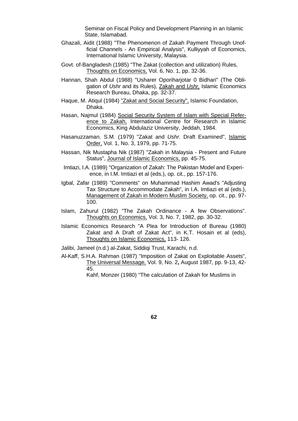Seminar on Fiscal Policy and Development Planning in an Islamic State, Islamabad.

- Ghazali, Aidit (1988) "The Phenomenon of Zakah Payment Through Unofficial Channels - An Empirical Analysis", Kulliyyah of Economics, International Islamic University, Malaysia.
- Govt. of-Bangladesh (1985) "The Zakat (collection and utilization) Rules, Thoughts on Economics, Vol. 6, No. 1, pp. 32-36.
- Hannan, Shah Abdul (1988) "Usharer Oporiharjotar 0 Bidhari" (The Obligation of *Ushr* and its Rules), Zakah and *Ushr,* Islamic Economics Research Bureau, Dhaka, pp. 32-37.
- Haque, M. Atiqul (1984) "Zakat and Social Security", Islamic Foundation, Dhaka.
- Hasan, Najmul (1984) Social Security System of Islam with Special Reference to Zakah, International Centre for Research in Islamic Economics, King Abdulaziz University, Jeddah, 1984.
- Hasanuzzaman. S.M. (1979) "Zakat and *Ushr.* Draft Examined", Islamic Order, Vol. 1, No. 3, 1979, pp. 71-75.
- Hassan, Nik Mustapha Nik (1987) "Zakah in Malaysia Present and Future Status", Journal of Islamic Economics, pp. 45-75.
- Imtiazi, I.A. (1989) "Organization of Zakah: The Pakistan Model and Experience, in I.M. Imtiazi et al (eds.), op. cit., pp. 157-176.
- Igbal, Zafar (1989) "Comments" on Muhammad Hashim Awad's "Adjusting Tax Structure to Accommodate Zakah", in I.A. Imtiazi et al (eds.), Management of Zakah in Modern Muslim Society, op. cit., pp. 97- 100.
- Islam, Zahurul (1982) "The Zakah Ordinance A few Observations". Thoughts on Economics, Vol. 3, No. 7, 1982, pp. 30-32.
- Islamic Economics Research "A Plea for Introduction of Bureau (1980) Zakat and A Draft of Zakat Act", in K.T. Hosain et al (eds), Thoughts on Islamic Economics, 113- 126.
- Jalibi, Jameel (n.d.) al-Zakat, Siddiqi Trust, Karachi, n.d.
- Al-Kaff, S.H.A. Rahman (1987) "Imposition of Zakat on Exploitable Assets", The Universal Message, Vol. 9, No. 2**,** August 1987, pp. 9-13, 42- 45.

Kahf, Monzer (1980) "The calculation of Zakah for Muslims in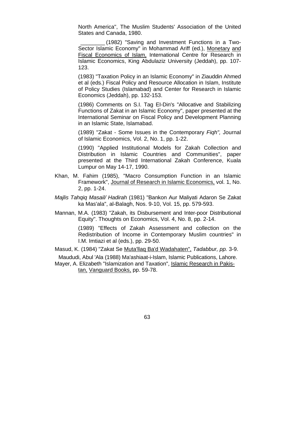North America", The Muslim Students' Association of the United States and Canada, 1980.

\_\_\_\_\_\_\_\_ (1982) "Saving and Investment Functions in a Two-Sector Islamic Economy" in Mohammad Ariff (ed.), Monetary and Fiscal Economics of Islam, International Centre for Research in Islamic Economics, King Abdulaziz University (Jeddah), pp. 107- 123.

 (1983) "Taxation Policy in an Islamic Economy" in Ziauddin Ahmed et al (eds.) Fiscal Policy and Resource Allocation in Islam, Institute of Policy Studies (Islamabad) and Center for Research in Islamic Economics (Jeddah), pp. 132-153.

 (1986) Comments on S.I. Tag EI-Din's "Allocative and Stabilizing Functions of Zakat in an Islamic Economy", paper presented at the International Seminar on Fiscal Policy and Development Planning in an Islamic State, Islamabad.

 (1989) "Zakat - Some Issues in the Contemporary *Fiqh",* Journal of Islamic Economics, Vol. 2, No. 1, pp. 1-22.

 (1990) "Applied Institutional Models for Zakah Collection and Distribution in Islamic Countries and Communities", paper presented at the Third International Zakah Conference, Kuala Lumpur on May 14-17, 1990.

- Khan, M. Fahim (1985), "Macro Consumption Function in an Islamic Framework", Journal of Research in Islamic Economics, vol. 1, No. 2, pp. 1-24.
- *Majlis Tahqiq Masail/ Hadirah* (1981) "Bankon Aur Maliyati Adaron Se Zakat ka Mas'ala", al-Balagh, Nos. 9-10, Vol. 15, pp. 579-593.
- Mannan, M.A. (1983) "Zakah, its Disbursement and Inter-poor Distributional Equity". Thoughts on Economics, Vol. 4, No. 8, pp. 2-14.

 (1989) "Effects of Zakah Assessment and collection on the Redistribution of Income in Contemporary Muslim countries" in I.M. Imtiazi et al (eds.), pp. 29-50.

Masud, K. (1984) "Zakat Se Muta'llaq Ba'd Wadahaten", *Tadabbur, pp.* 3-9.

Maududi, Abul 'Ala (1988) Ma'ashiaat-i-Islam, Islamic Publications, Lahore.

Mayer, A. Elizabeth "Islamization and Taxation", Islamic Research in Pakistan, Vanguard Books, pp. 59-78.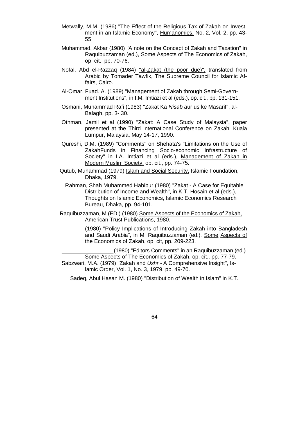- Metwally, M.M. (1986) "The Effect of the Religious Tax of Zakah on Investment in an Islamic Economy", Humanomics, No. 2, Vol. 2, pp. 43- 55.
- Muhammad, Akbar (1980) "A note on the Concept of Zakah and Taxation" in Raquibuzzaman (ed.), Some Aspects of The Economics of Zakah, op. cit., pp. 70-76.
- Nofal, Abd el-Razzaq (1984) "al-Zakat (the poor due)", translated from Arabic by Tomader Tawfik, The Supreme Council for Islamic Affairs, Cairo.
- Al-Omar, Fuad. A. (1989) "Management of Zakah through Semi-Government Institutions", in I.M. Imtiazi et al (eds.), op. cit., pp. 131-151.
- Osmani, Muhammad Rafi (1983) "Zakat Ka *Nisab a*ur us ke Masarif", al-Balagh, pp. 3- 30.
- Othman, Jamil et al (1990) "Zakat: A Case Study of Malaysia", paper presented at the Third International Conference on Zakah, Kuala Lumpur, Malaysia, May 14-17, 1990.
- Qureshi, D.M. (1989) "Comments" on Shehata's "Limitations on the Use of ZakahFunds in Financing Socio-economic Infrastructure of Society" in I.A. Imtiazi et al (eds.), Management of Zakah in Modern Muslim Society, op. cit., pp. 74-75.
- Qutub, Muhammad (1979) Islam and Social Security, Islamic Foundation, Dhaka, 1979.
	- Rahman, Shah Muhammed Habibur (1980) "Zakat A Case for Equitable Distribution of Income and Wealth", in K.T. Hosain et al (eds.), Thoughts on Islamic Economics, Islamic Economics Research Bureau, Dhaka, pp. 94-101.
- Raquibuzzaman, M (ED.) (1980) Some Aspects of the Economics of Zakah, American Trust Publications, 1980.

 (1980) "Policy Implications of Introducing Zakah into Bangladesh and Saudi Arabia", in M. Raquibuzzaman (ed.), Some Aspects of the Economics of Zakah, op. cit, pp. 209-223.

\_\_\_\_\_\_\_\_\_\_\_\_\_\_\_\_\_(1980) "Editors Comments" in an Raquibuzzaman (ed.) Some Aspects of The Economics of Zakah, op. cit., pp. 77-79. Sabzwari, M.A. (1979) "Zakah and *Ushr -* A Comprehensive Insight", Islamic Order, Vol. 1, No. 3, 1979, pp. 49-70.

Sadeq, Abul Hasan M. (1980) "Distribution of Wealth in Islam" in K.T.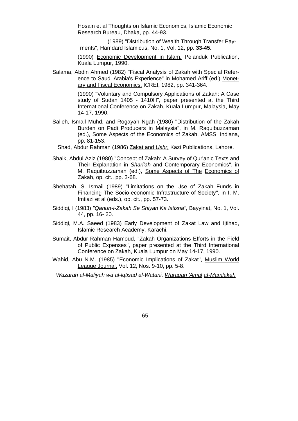Hosain et al Thoughts on Islamic Economics, Islamic Economic Research Bureau, Dhaka, pp. 44-93.

\_\_\_\_\_\_\_\_\_\_\_\_\_\_\_\_ (1989) "Distribution of Wealth Through Transfer Payments", Hamdard Islamicus, No. 1, Vol. 12, pp. **33-45.**

(1990) Economic Development in Islam, Pelanduk Publication, Kuala Lumpur, 1990.

Salama, Abdin Ahmed (1982) "Fiscal Analysis of Zakah with Special Reference to Saudi Arabia's Experience" in Mohamed Ariff (ed.) Monetary and Fiscal Economics, ICREI, 1982, pp. 341-364.

> (1990) "Voluntary and Compulsory Applications of Zakah: A Case study of Sudan 1405 - 1410H", paper presented at the Third International Conference on Zakah, Kuala Lumpur, Malaysia, May 14-17, 1990.

- Salleh, Ismail Muhd. and Rogayah Ngah (1980) "Distribution of the Zakah Burden on Padi Producers in Malaysia", in M. Raquibuzzaman (ed.), Some Aspects of the Economics of Zakah, AMSS, Indiana, pp. 81-153.
	- Shad, Abdur Rahman (1986) Zakat and *Ushr,* Kazi Publications, Lahore.
- Shaik, Abdul Aziz (1980) "Concept of Zakah: A Survey of Qur'anic Texts and Their Explanation in *Shari'ah* and Contemporary Economics", in M. Raquibuzzaman (ed.), Some Aspects of The Economics of Zakah, op. cit., pp. 3-68.
- Shehatah, S. Ismail (1989) "Limitations on the Use of Zakah Funds in Financing The Socio-economic Infrastructure of Society", in I. M. Imtiazi et al (eds.), op. cit., pp. 57-73.
- Siddiqi, I (1983) *"Qanun-i-Zakah Se Shiyan Ka Istisna",* Bayyinat, No. 1, Vol. 44, pp. 16- 20.
- Siddiqi, M.A. Saeed (1983) Early Development of Zakat Law and Ijtihad, Islamic Research Academy, Karachi.
- Sumait, Abdur Rahman Hamoud, "Zakah Organizations Efforts in the Field of Public Expenses", paper presented at the Third International Conference on Zakah, Kuala Lumpur on May 14-17, 1990.
- Wahid, Abu N.M. (1985) "Economic Implications of Zakat", Muslim World League Journal, Vol. 12, Nos. 9-10, pp. 5-8.

*Wazarah al-Maliyah wa al-lqtisad al-Watani, Waraqah 'Amal aI-Mamlakah*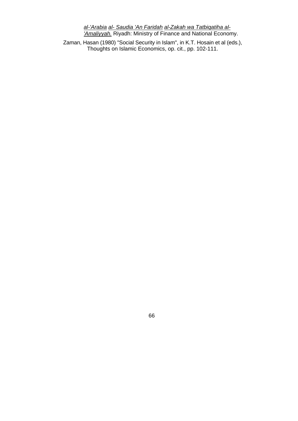*al-'Arabia al- Saudia 'An Faridah al-Zakah wa Tatbiqatiha al- 'Amaliyyah.* Riyadh: Ministry of Finance and National Economy.

Zaman, Hasan (1980) "Social Security in Islam", in K.T. Hosain et al (eds.), Thoughts on Islamic Economics, op. cit., pp. 102-111.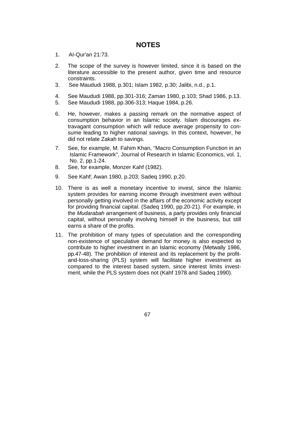## **NOTES**

- 1. AI-Qur'an 21:73.
- 2. The scope of the survey is however limited, since it is based on the literature accessible to the present author, given time and resource constraints.
- 3. See Maududi 1988, p.301; Islam 1982, p.30; Jalibi, n.d., p.1.
- 4. See Maududi 1988, pp.301-316; Zaman 1980, p.103; Shad 1986, p.13.
- 5. See Maududi 1988, pp.306-313; Haque 1984, p.26.
- 6. He, however, makes a passing remark on the normative aspect of consumption behavior in an Islamic society. Islam discourages extravagant consumption which will reduce average propensity to consume leading to higher national savings. In this context, however, he did not relate Zakah to savings.
- 7. See, for example, M. Fahim Khan, "Macro Consumption Function in an Islamic Framework", Journal of Research in Islamic Economics, vol. 1, No. 2, pp.1-24.
- 8. See, for example, Monzer Kahf (1982).
- 9. See Kahf; Awan 1980, p.203; Sadeq 1990, p.20.
- 10. There is as well a monetary incentive to invest, since the Islamic system provides for earning income through investment even without personally getting involved in the affairs of the economic activity except for providing financial capital. (Sadeq 1990, pp.20-21). For example, in the *Mudarabah* arrangement of business, a party provides only financial capital, without personally involving himself in the business, but still earns a share of the profits.
- 11. The prohibition of many types of speculation and the corresponding non-existence of speculative demand for money is also expected to contribute to higher investment in an Islamic economy (Metwally 1986, pp.47-48). The prohibition of interest and its replacement by the profitand-loss-sharing (PLS) system will facilitate higher investment as compared to the interest based system, since interest limits investment, while the PLS system does not (Kahf 1978 and Sadeq 1990).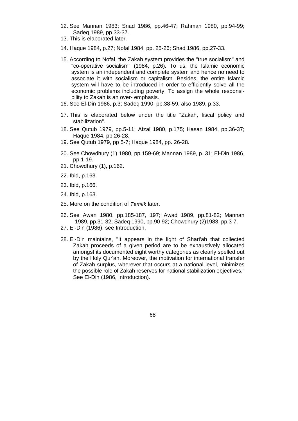- 12. See Mannan 1983; Snad 1986, pp.46-47; Rahman 1980, pp.94-99; Sadeq 1989, pp.33-37.
- 13. This is elaborated later.
- 14. Haque 1984, p.27; Nofal 1984, pp. 25-26; Shad 1986, pp.27-33.
- 15. According to Nofal, the Zakah system provides the "true socialism" and "co-operative socialism" (1984, p.26). To us, the Islamic economic system is an independent and complete system and hence no need to associate it with socialism or capitalism. Besides, the entire Islamic system will have to be introduced in order to efficiently solve all the economic problems including poverty. To assign the whole responsibility to Zakah is an over- emphasis.
- 16. See El-Din 1986, p.3; Sadeq 1990, pp.38-59, also 1989, p.33.
- 17. This is elaborated below under the title "Zakah, fiscal policy and stabilization".
- 18. See Qutub 1979, pp.5-11; Afzal 1980, p.175; Hasan 1984, pp.36-37; Haque 1984, pp.26-28.
- 19. See Qutub 1979, pp 5-7; Haque 1984, pp. 26-28.
- 20. See Chowdhury (1) 1980, pp.159-69; Mannan 1989, p. 31; El-Din 1986, pp.1-19.
- 21. Chowdhury (1), p.162.
- 22. Ibid, p.163.
- 23. Ibid, p.166.
- 24. Ibid, p.163.
- 25. More on the condition of *Tamlik* later.
- 26. See Awan 1980, pp.185-187, 197; Awad 1989, pp.81-82; Mannan 1989, pp.31-32; Sadeq 1990, pp.90-92; Chowdhury (2)1983, pp.3-7.
- 27. El-Din (1986), see Introduction.
- 28. El-Din maintains, "It appears in the light of Shari'ah that collected Zakah proceeds of a given period are to be exhaustively allocated amongst its documented eight worthy categories as clearly spelled out by the Holy Qur'an. Moreover, the motivation for international transfer of Zakah surplus, wherever that occurs at a national level, minimizes the possible role of Zakah reserves for national stabilization objectives." See El-Din (1986, Introduction).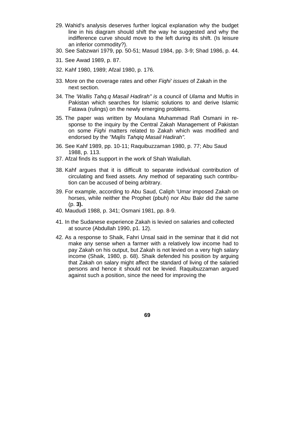- 29. Wahid's analysis deserves further logical explanation why the budget line in his diagram should shift the way he suggested and why the indifference curve should move to the left during its shift. (Is leisure an inferior commodity?).
- 30. See Sabzwari 1979, pp. 50-51; Masud 1984, pp. 3-9; Shad 1986, p. 44.
- 31. See Awad 1989, p. 87.
- 32. Kahf 1980, 1989; Afzal 1980, p. 176.
- 33. More on the coverage rates and other *Fiqhi' issues* of Zakah in the next section.
- 34. The *'Wallis Tahq.q Masail Hadirah" is* a council of *Ulama* and Muftis in Pakistan which searches for Islamic solutions to and derive Islamic Fatawa (rulings) on the newly emerging problems.
- 35. The paper was written by Moulana Muhammad Rafi Osmani in response to the inquiry by the Central Zakah Management of Pakistan on some *Fiqhi* matters related to Zakah which was modified and endorsed by the *"Majlis Tahqiq Masail Hadirah".*
- 36. See Kahf 1989, pp. 10-11; Raquibuzzaman 1980, p. 77; Abu Saud 1988, p. 113.
- 37. Afzal finds its support in the work of Shah Waliullah.
- 38. Kahf argues that it is difficult to separate individual contribution of circulating and fixed assets. Any method of separating such contribution can be accused of being arbitrary.
- 39. For example, according to Abu Saud, Caliph 'Umar imposed Zakah on horses, while neither the Prophet (pbuh) nor Abu Bakr did the same (p. **3).**
- 40. Maududi 1988, p. 341; Osmani 1981, pp. 8-9.
- 41. In the Sudanese experience Zakah is levied on salaries and collected at source (Abdullah 1990, p1. 12).
- 42. As a response to Shaik, Fahri Unsal said in the seminar that it did not make any sense when a farmer with a relatively low income had to pay Zakah on his output, but Zakah is not levied on a very high salary income (Shaik, 1980, p. 68). Shaik defended his position by arguing that Zakah on salary might affect the standard of living of the salaried persons and hence it should not be levied. Raquibuzzaman argued against such a position, since the need for improving the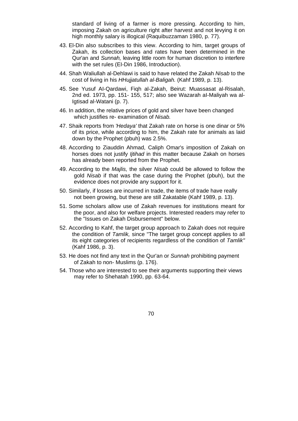standard of living of a farmer is more pressing. According to him, imposing Zakah on agriculture right after harvest and not levying it on high monthly salary is illogical (Raquibuzzaman 1980, p. 77).

- 43. El-Din also subscribes to this view. According to him, target groups of Zakah, its collection bases and rates have been determined in the Qur'an and *Sunnah,* leaving little room for human discretion to interfere with the set rules (EI-Din 1986, Introduction).
- 44. Shah Waliullah al-Dehlawi is said to have related the Zakah *Nisab* to the cost of living in his *HHujjatullah al-Baligah.* (Kahf 1989, p. 13).
- 45. See Yusuf AI-Qardawi, Fiqh al-Zakah, Beirut: Muassasat al-Risalah, 2nd ed. 1973, pp. 151- 155, 517; also see Wazarah aI-Maliyah wa al-Igtisad al-Watani (p. 7).
- 46. In addition, the relative prices of gold and silver have been changed which justifies re- examination of *Nisab.*
- 47. Shaik reports from *'Hedaya'* that Zakah rate on horse is one dinar or 5% of its price, while according to him, the Zakah rate for animals as laid down by the Prophet (pbuh) was 2.5%.
- 48. According to Ziauddin Ahmad, Caliph Omar's imposition of Zakah on horses does not justify *Ijtihad* in this matter because Zakah on horses has already been reported from the Prophet.
- 49. According to the *Majlis,* the silver *Nisab* could be allowed to follow the gold *Nisab* if that was the case during the Prophet (pbuh), but the evidence does not provide any support for it.
- 50. Similarly, if losses are incurred in trade, the items of trade have really not been growing, but these are still Zakatable (Kahf 1989, p. 13).
- 51. Some scholars allow use of Zakah revenues for institutions meant for the poor, and also for welfare projects. Interested readers may refer to the "Issues on Zakah Disbursement" below.
- 52. According to Kahf, the target group approach to Zakah does not require the condition of *Tamlik,* since "The target group concept applies to all its eight categories of recipients regardless of the condition of *Tamlik"*  (Kahf 1986, p. 3).
- 53. He does not find any text in the Qur'an or *Sunnah* prohibiting payment of Zakah to non- Muslims (p. 176).
- 54. Those who are interested to see their arguments supporting their views may refer to Shehatah 1990, pp. 63-64.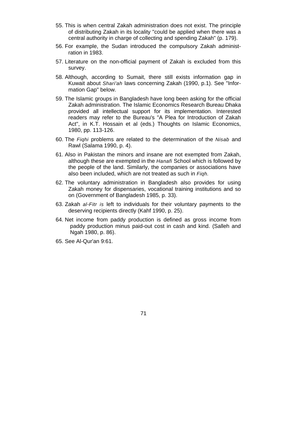- 55. This is when central Zakah administration does not exist. The principle of distributing Zakah in its locality "could be applied when there was a central authority in charge of collecting and spending Zakah" (p. 179).
- 56. For example, the Sudan introduced the compulsory Zakah administration in 1983.
- 57. Literature on the non-official payment of Zakah is excluded from this survey.
- 58. Although, according to Sumait, there still exists information gap in Kuwait about *Shari'ah* laws concerning Zakah (1990, p.1). See "Information Gap" below.
- 59. The Islamic groups in Bangladesh have long been asking for the official Zakah administration. The Islamic Economics Research Bureau Dhaka provided all intellectual support for its implementation. Interested readers may refer to the Bureau's "A Plea for Introduction of Zakah Act", in K.T. Hossain et al (eds.) Thoughts on Islamic Economics, 1980, pp. 113-126.
- 60. The *Fiqhi* problems are related to the determination of the *Nisab* and Rawl (Salama 1990, p. 4).
- 61. Also in Pakistan the minors and insane are not exempted from Zakah, although these are exempted in the *Hanafi* School which is followed by the people of the land. Similarly, the companies or associations have also been included, which are not treated as such in *Fiqh.*
- 62. The voluntary administration in Bangladesh also provides for using Zakah money for dispensaries, vocational training institutions and so on (Government of Bangladesh 1985, p. 33).
- 63. Zakah *al-Fitr is* left to individuals for their voluntary payments to the deserving recipients directly (Kahf 1990, p. 25).
- 64. Net income from paddy production is defined as gross income from paddy production minus paid-out cost in cash and kind. (Salleh and Ngah 1980, p. 86).
- 65. See Al-Qur'an 9:61.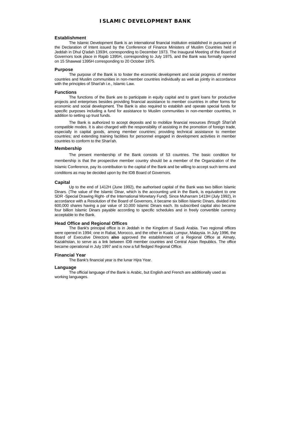#### **ISLAMIC DEVELOPMENT BANK**

#### **Establishment**

The Islamic Development Bank is an international financial institution established in pursuance of the Declaration of Intent issued by the Conference of Finance Ministers of Muslim Countries held in Jeddah in Dhul Q'adah 1393H, corresponding to December 1973. The Inaugural Meeting of the Board of Governors took place in Rajab 1395H, corresponding to July 1975, and the Bank was formally opened on 15 Shawwal 1395H corresponding to 20 October 1975.

#### **Purpose**

The purpose of the Bank is to foster the economic development and social progress of member countries and Muslim communities in non-member countries individually as well as jointly in accordance with the principles of Shari'ah i.e., Islamic Law.

#### **Functions**

The functions of the Bank are to participate in equity capital and to grant loans for productive projects and enterprises besides providing financial assistance to member countries in other forms for economic and social development. The Bank is also required to establish and operate special funds for specific purposes including a fund for assistance to Muslim communities in non-member countries, in addition to setting up trust funds.

The Bank is authorized to accept deposits and to mobilize financial resources *through Shari'ah*  compatible modes. It is also charged with the responsibility of assisting in the promotion of foreign trade, especially in capital goods, among member countries; providing technical assistance to member countries; and extending training facilities for personnel engaged in development activities in member countries to conform to the Shari'ah.

#### **Membership**

The present membership of the Bank consists of 53 countries. The basic condition for membership is that the prospective member country should be a member of the Organization of the Islamic Conference, pay its contribution to the capital of the Bank and be willing to accept such terms and conditions as may be decided upon by the IDB Board of Governors.

#### **Capital**

Up to the end of 1412H (June 1992), the authorised capital of the Bank was two billion Islamic Dinars. (The value of the Islamic Dinar, which is the accounting unit in the Bank, is equivalent to one SDR -Special Drawing Right- of the International Monetary Fund). Since Muharram 1413H (July 1992), in accordance with a Resolution of the Board of Governors, it became six billion Islamic Dinars, divided into 600,000 shares having a par value of 10,000 Islamic Dinars each. Its subscribed capital also became four billion Islamic Dinars payable according to specific schedules and in freely convertible currency acceptable to the Bank.

#### **Head Office and Regional Offices**

The Bank's principal office is in Jeddah in the Kingdom of Saudi Arabia. Two regional offices were opened in 1994; one in Rabat, Morocco, and the other in Kuala Lumpur, Malaysia. In July 1996, the Board of Executive Directors **also** approved the establishment of a Regional Office at Almaty, Kazakhstan, to serve as a link between IDB member countries and Central Asian Republics. The office became operational in July 1997 and is now a full fledged Regional Office.

#### **Financial Year**

The Bank's financial year is the lunar Hijra Year.

#### **Language**

The official language of the Bank is Arabic, but English and French are additionally used as working languages.